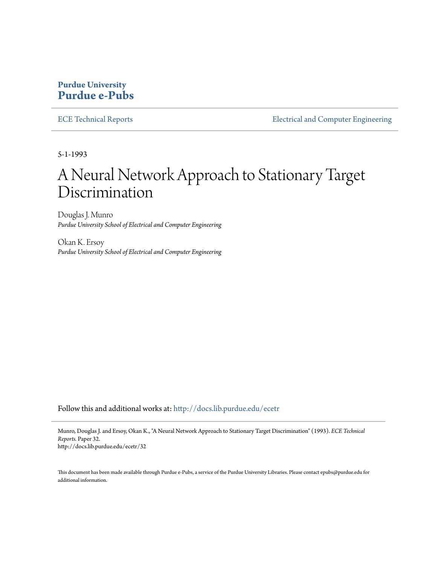### **Purdue University [Purdue e-Pubs](http://docs.lib.purdue.edu?utm_source=docs.lib.purdue.edu%2Fecetr%2F32&utm_medium=PDF&utm_campaign=PDFCoverPages)**

[ECE Technical Reports](http://docs.lib.purdue.edu/ecetr?utm_source=docs.lib.purdue.edu%2Fecetr%2F32&utm_medium=PDF&utm_campaign=PDFCoverPages) **[Electrical and Computer Engineering](http://docs.lib.purdue.edu/ece?utm_source=docs.lib.purdue.edu%2Fecetr%2F32&utm_medium=PDF&utm_campaign=PDFCoverPages)** 

5-1-1993

# A Neural Network Approach to Stationary Target Discrimination

Douglas J. Munro *Purdue University School of Electrical and Computer Engineering*

Okan K. Ersoy *Purdue University School of Electrical and Computer Engineering*

Follow this and additional works at: [http://docs.lib.purdue.edu/ecetr](http://docs.lib.purdue.edu/ecetr?utm_source=docs.lib.purdue.edu%2Fecetr%2F32&utm_medium=PDF&utm_campaign=PDFCoverPages)

Munro, Douglas J. and Ersoy, Okan K., "A Neural Network Approach to Stationary Target Discrimination" (1993). *ECE Technical Reports.* Paper 32. http://docs.lib.purdue.edu/ecetr/32

This document has been made available through Purdue e-Pubs, a service of the Purdue University Libraries. Please contact epubs@purdue.edu for additional information.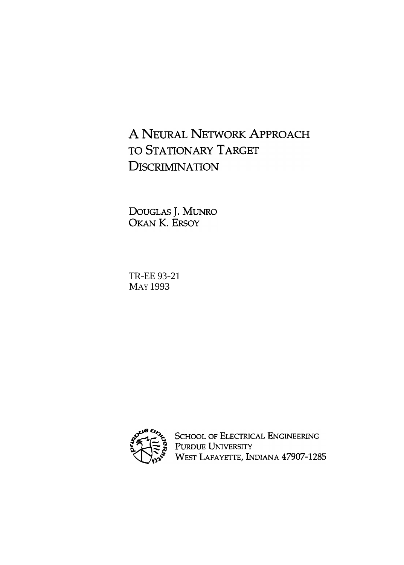# A NEURAL NETWORK APPROACH TO STATIONARY TARGET **DISCRIMINATION**

DOUGLAS J. MUNRO<br>OKAN K. ERSOY

TR-EE 93-21 MAY 1993



SCHOOL OF ELECTRICAL ENGINEERING<br>PURDUE UNIVERSITY<br>WEST LAFAYETTE, INDIANA 47907-1285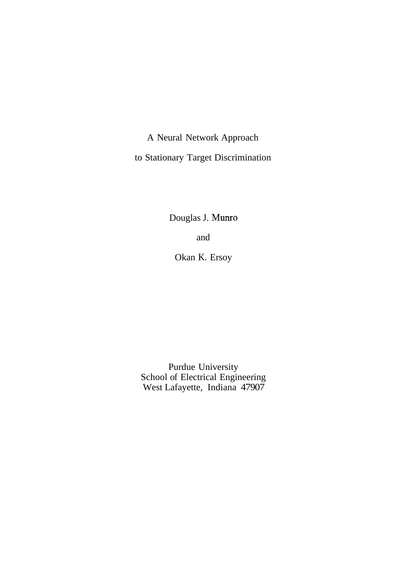A Neural Network Approach to Stationary Target Discrimination

Douglas J. Munro

and

Okan K. Ersoy

Purdue University School of Electrical Engineering West Lafayette, Indiana 47907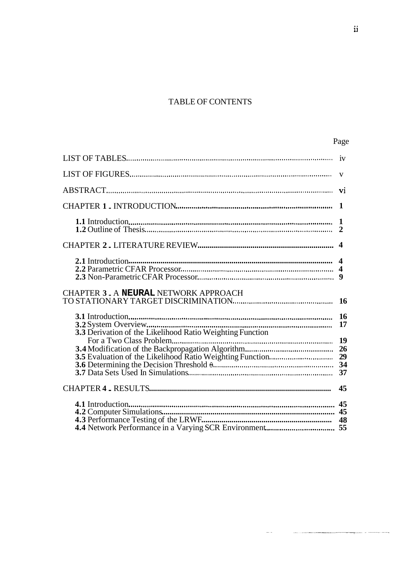## TABLE OF CONTENTS

|                                                           | $\mathbf{1}$ |
|-----------------------------------------------------------|--------------|
|                                                           |              |
|                                                           |              |
|                                                           |              |
| CHAPTER 3 . A NEURAL NETWORK APPROACH                     |              |
| 3.3 Derivation of the Likelihood Ratio Weighting Function |              |
|                                                           | 29           |
|                                                           | 45           |
|                                                           |              |

 $\frac{1}{2}$ 

 $\label{eq:1} \begin{split} \mathcal{L}_{\text{max}}(\mathbf{r},\mathbf{r}) & = \mathcal{L}_{\text{max}}(\mathbf{r},\mathbf{r}) + \mathcal{L}_{\text{max}}(\mathbf{r},\mathbf{r}) + \mathcal{L}_{\text{max}}(\mathbf{r},\mathbf{r}) \end{split}$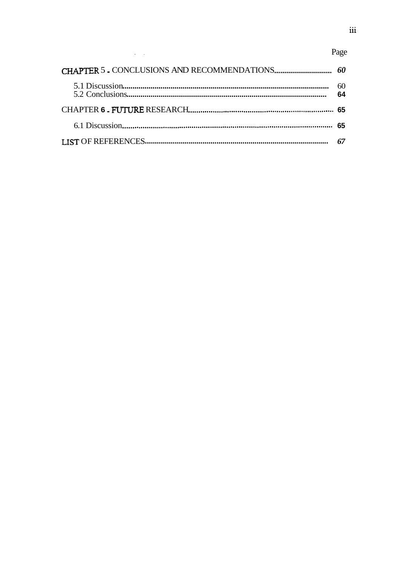## Page

| 60<br>64 |
|----------|
|          |
|          |
|          |

 $\mathcal{L}_{\text{max}}$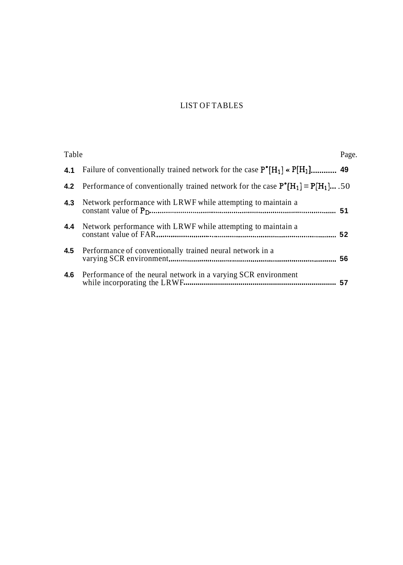### LIST OF TABLES

| Table |                                                                                              | Page. |
|-------|----------------------------------------------------------------------------------------------|-------|
|       | 4.1 Failure of conventionally trained network for the case $P^*[H_1] \times P[H_1]$ 49       |       |
|       | 4.2 Performance of conventionally trained network for the case $P^* [H_1] = P[H_1] \dots 50$ |       |
| 4.3   | Network performance with LRWF while attempting to maintain a                                 |       |
|       | <b>4.4</b> Network performance with LRWF while attempting to maintain a                      |       |
|       | <b>4.5</b> Performance of conventionally trained neural network in a                         |       |
|       | <b>4.6</b> Performance of the neural network in a varying SCR environment                    |       |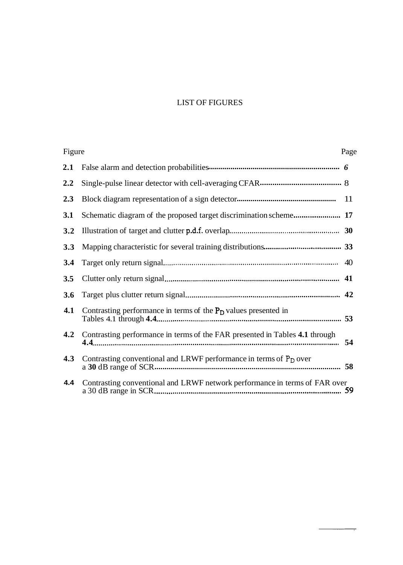## LIST OF FIGURES

| Figure |                                                                             | Page |
|--------|-----------------------------------------------------------------------------|------|
| 2.1    |                                                                             |      |
| 2.2    |                                                                             |      |
| 2.3    |                                                                             |      |
| 3.1    |                                                                             |      |
| 3.2    |                                                                             |      |
| 3.3    |                                                                             |      |
| 3.4    |                                                                             |      |
| 3.5    |                                                                             |      |
| 3.6    |                                                                             |      |
| 4.1    | Contrasting performance in terms of the $P_D$ values presented in           |      |
| 4.2    | Contrasting performance in terms of the FAR presented in Tables 4.1 through |      |
| 4.3    | Contrasting conventional and LRWF performance in terms of $P_D$ over        |      |
| 4.4    | Contrasting conventional and LRWF network performance in terms of FAR over  |      |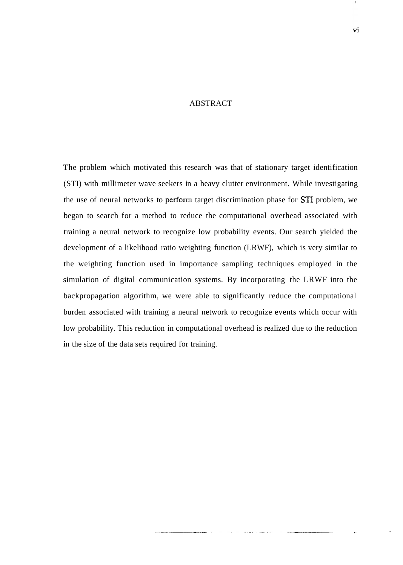#### ABSTRACT

The problem which motivated this research was that of stationary target identification (STI) with millimeter wave seekers in a heavy clutter environment. While investigating the use of neural networks to perform target discrimination phase for ST1 problem, we began to search for a method to reduce the computational overhead associated with training a neural network to recognize low probability events. Our search yielded the development of a likelihood ratio weighting function (LRWF), which is very similar to the weighting function used in importance sampling techniques employed in the simulation of digital communication systems. By incorporating the LRWF into the backpropagation algorithm, we were able to significantly reduce the computational burden associated with training a neural network to recognize events which occur with low probability. This reduction in computational overhead is realized due to the reduction in the size of the data sets required for training.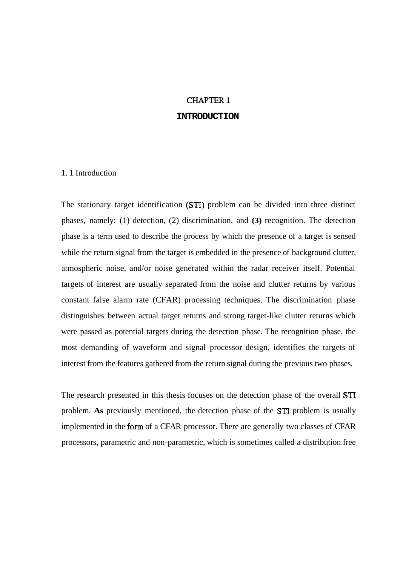#### CHAPTER 1

#### **INTRODUCTION**

#### 1. 1 Introduction

The stationary target identification (STI) problem can be divided into three distinct phases, namely: (1) detection, (2) discrimination, and **(3)** recognition. The detection phase is a term used to describe the process by which the presence of a target is sensed while the return signal from the target is embedded in the presence of background clutter, atmospheric noise, and/or noise generated within the radar receiver itself. Potential targets of interest are usually separated from the noise and clutter returns by various constant false alarm rate (CFAR) processing techniques. The discrimination phase distinguishes between actual target returns and strong target-like clutter returns which were passed as potential targets during the detection phase. The recognition phase, the most demanding of waveform and signal processor design, identifies the targets of interest from the features gathered from the return signal during the previous two phases.

The research presented in this thesis focuses on the detection phase of the overall STI problem. **As** previously mentioned, the detection phase of the **ST1** problem is usually implemented in the form of a CFAR processor. There are generally two classes of CFAR processors, parametric and non-parametric, which is sometimes called a distribution free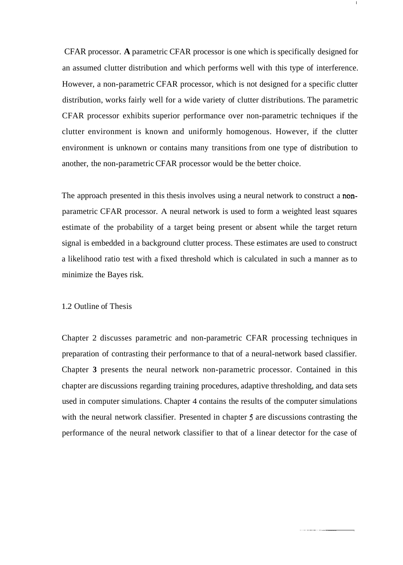CFAR processor. **A** parametric CFAR processor is one which is specifically designed for an assumed clutter distribution and which performs well with this type of interference. However, a non-parametric CFAR processor, which is not designed for a specific clutter distribution, works fairly well for a wide variety of clutter distributions. The parametric CFAR processor exhibits superior performance over non-parametric techniques if the clutter environment is known and uniformly homogenous. However, if the clutter environment is unknown or contains many transitions from one type of distribution to another, the non-parametric CFAR processor would be the better choice.

The approach presented in this thesis involves using a neural network to construct a nonparametric CFAR processor. A neural network is used to form a weighted least squares estimate of the probability of a target being present or absent while the target return signal is embedded in a background clutter process. These estimates are used to construct a likelihood ratio test with a fixed threshold which is calculated in such a manner as to minimize the Bayes risk.

#### 1.2 Outline of Thesis

Chapter 2 discusses parametric and non-parametric CFAR processing techniques in preparation of contrasting their performance to that of a neural-network based classifier. Chapter **3** presents the neural network non-parametric processor. Contained in this chapter are discussions regarding training procedures, adaptive thresholding, and data sets used in computer simulations. Chapter 4 contains the results of the computer simulations with the neural network classifier. Presented in chapter **5** are discussions contrasting the performance of the neural network classifier to that of a linear detector for the case of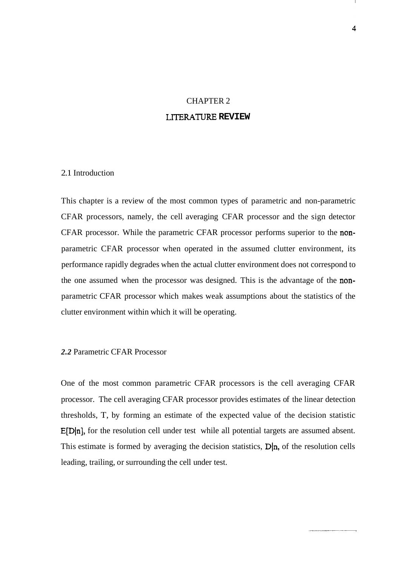## CHAPTER 2 LITERATURE **REVIEW**

#### 2.1 Introduction

This chapter is a review of the most common types of parametric and non-parametric CFAR processors, namely, the cell averaging CFAR processor and the sign detector CFAR processor. While the parametric CFAR processor performs superior to the nonparametric CFAR processor when operated in the assumed clutter environment, its performance rapidly degrades when the actual clutter environment does not correspond to the one assumed when the processor was designed. This is the advantage of the nonparametric CFAR processor which makes weak assumptions about the statistics of the clutter environment within which it will be operating.

#### *2.2* Parametric CFAR Processor

One of the most common parametric CFAR processors is the cell averaging CFAR processor. The cell averaging CFAR processor provides estimates of the linear detection thresholds, T, by forming an estimate of the expected value of the decision statistic  $E[D|n]$ , for the resolution cell under test while all potential targets are assumed absent. This estimate is formed by averaging the decision statistics,  $D|n$ , of the resolution cells leading, trailing, or surrounding the cell under test.

4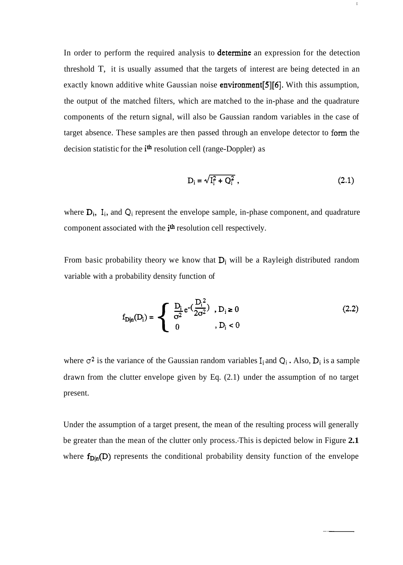In order to perform the required analysis to **determine** an expression for the detection threshold T, it is usually assumed that the targets of interest are being detected in an exactly known additive white Gaussian noise **environment**[5][6]. With this assumption, the output of the matched filters, which are matched to the in-phase and the quadrature components of the return signal, will also be Gaussian random variables in the case of target absence. These samples are then passed through an envelope detector to form the decision statistic for the *i*<sup>th</sup> resolution cell (range-Doppler) as

$$
D_i = \sqrt{I_i^2 + Q_i^2} \t\t(2.1)
$$

 $\mathbf{I}% _{0}\left( \mathbf{I}_{1}\right)$ 

where  $D_i$ ,  $I_i$ , and  $Q_i$  represent the envelope sample, in-phase component, and quadrature component associated with the *i*<sup>th</sup> resolution cell respectively.

From basic probability theory we know that  $D_i$  will be a Rayleigh distributed random variable with a probability density function of

$$
f_{D|n}(D_i) = \begin{cases} \frac{D_i}{\sigma^2} e^{-\left(\frac{D_i^2}{2\sigma^2}\right)}, & D_i \ge 0\\ 0, & D_i < 0 \end{cases}
$$
 (2.2)

where  $\sigma^2$  is the variance of the Gaussian random variables  $I_i$  and  $Q_i$ . Also,  $D_i$  is a sample drawn from the clutter envelope given by Eq. (2.1) under the assumption of no target present.

Under the assumption of a target present, the mean of the resulting process will generally be greater than the mean of the clutter only process.-This is depicted below in Figure **2.1**  where  $f_{D|n}(D)$  represents the conditional probability density function of the envelope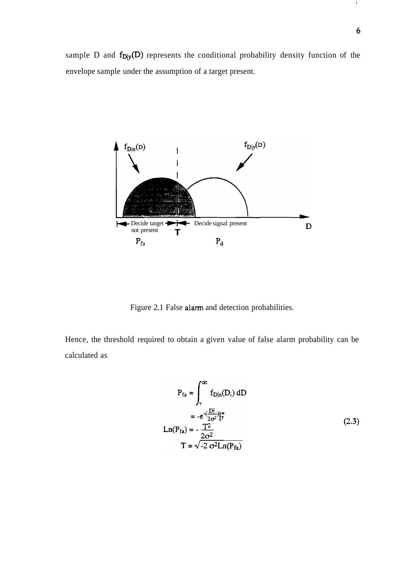$\Gamma$ 

sample D and  $f_{D|y}(D)$  represents the conditional probability density function of the envelope sample under the assumption of a target present.



Figure 2.1 False aiarm and detection probabilities.

Hence, the threshold required to obtain a given value of false alarm probability can be calculated as

$$
P_{fa} = \int_{\tau}^{\infty} f_{D|n}(D_i) dD
$$
  
= -e<sup>- $(\frac{D_{\tau}^{2}}{2\sigma^{2}})^{2\pi}$   
Ln(P<sub>fa</sub>) = - $\frac{T^{2}}{2\sigma^{2}}$   
T =  $\sqrt{-2 \sigma^{2} Ln(P_{fa})}$  (2.3)</sup>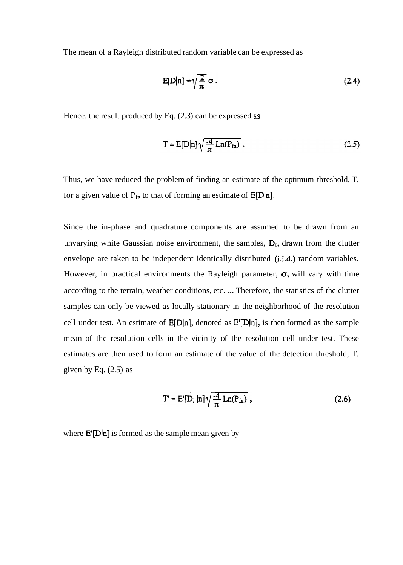The mean of a Rayleigh distributed random variable can be expressed as

$$
E[D|n] = \sqrt{\frac{2}{\pi}} \sigma.
$$
 (2.4)

Hence, the result produced by Eq. (2.3) can be expressed **as** 

$$
T = E[D|n] \sqrt{\frac{-4}{\pi} Ln(P_{fa})} . \qquad (2.5)
$$

Thus, we have reduced the problem of finding an estimate of the optimum threshold, T, for a given value of  $P_{fa}$  to that of forming an estimate of  $E[D|n]$ .

Since the in-phase and quadrature components are assumed to be drawn from an unvarying white Gaussian noise environment, the samples,  $D_i$ , drawn from the clutter envelope are taken to be independent identically distributed (i.i.d.) random variables. However, in practical environments the Rayleigh parameter,  $\sigma$ , will vary with time according to the terrain, weather conditions, etc. ... Therefore, the statistics of the clutter samples can only be viewed as locally stationary in the neighborhood of the resolution cell under test. An estimate of  $E[D|n]$ , denoted as  $E'[D|n]$ , is then formed as the sample mean of the resolution cells in the vicinity of the resolution cell under test. These estimates are then used to form an estimate of the value of the detection threshold, T, given by Eq.  $(2.5)$  as

$$
T = E'[D_i | n] \sqrt{\frac{-4}{\pi} Ln(P_{fa})}, \qquad (2.6)
$$

where  $E'[D|n]$  is formed as the sample mean given by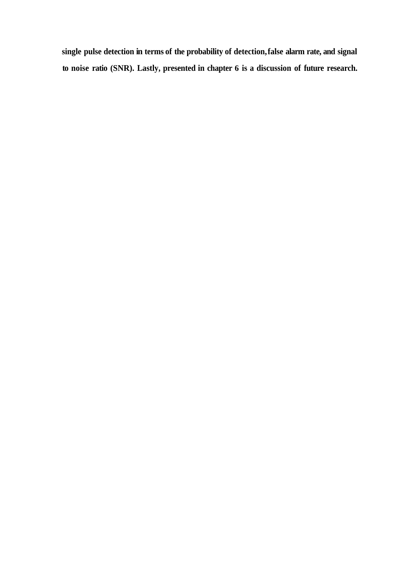**single pulse detection in terms of the probability of detection, false alarm rate, and signal to noise ratio (SNR). Lastly, presented in chapter 6 is a discussion of future research.**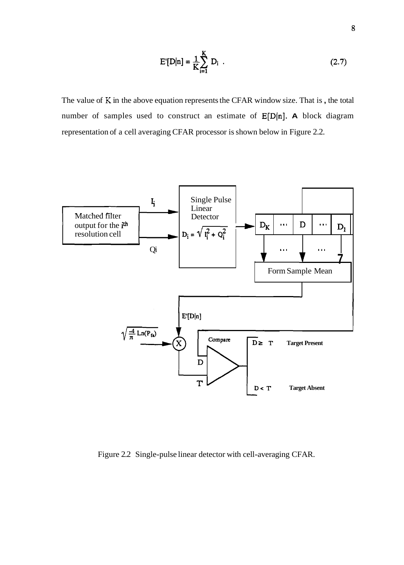$$
E'[D|n] = \frac{1}{K} \sum_{i=1}^{K} D_i
$$
 (2.7)

The value of **K** in the above equation represents the CFAR window size. That is , the total number of samples used to construct an estimate of E[D(n]. **A** block diagram representation of a cell averaging CFAR processor is shown below in Figure 2.2.



Figure 2.2 Single-pulse linear detector with cell-averaging CFAR.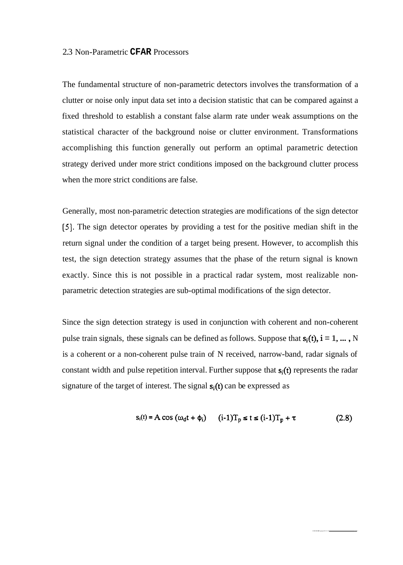#### 2.3 Non-Parametric **CFAR** Processors

The fundamental structure of non-parametric detectors involves the transformation of a clutter or noise only input data set into a decision statistic that can be compared against a fixed threshold to establish a constant false alarm rate under weak assumptions on the statistical character of the background noise or clutter environment. Transformations accomplishing this function generally out perform an optimal parametric detection strategy derived under more strict conditions imposed on the background clutter process when the more strict conditions are false.

Generally, most non-parametric detection strategies are modifications of the sign detector **[5].** The sign detector operates by providing a test for the positive median shift in the return signal under the condition of a target being present. However, to accomplish this test, the sign detection strategy assumes that the phase of the return signal is known exactly. Since this is not possible in a practical radar system, most realizable nonparametric detection strategies are sub-optimal modifications of the sign detector.

Since the sign detection strategy is used in conjunction with coherent and non-coherent pulse train signals, these signals can be defined as follows. Suppose that  $s_i(t)$ ,  $i = 1, ..., N$ is a coherent or a non-coherent pulse train of N received, narrow-band, radar signals of constant width and pulse repetition interval. Further suppose that  $s_i(t)$  represents the radar signature of the target of interest. The signal  $s_i(t)$  can be expressed as

$$
s_i(t) = A \cos (\omega_0 t + \phi_i) \qquad (i-1)T_p \le t \le (i-1)T_p + \tau \qquad (2.8)
$$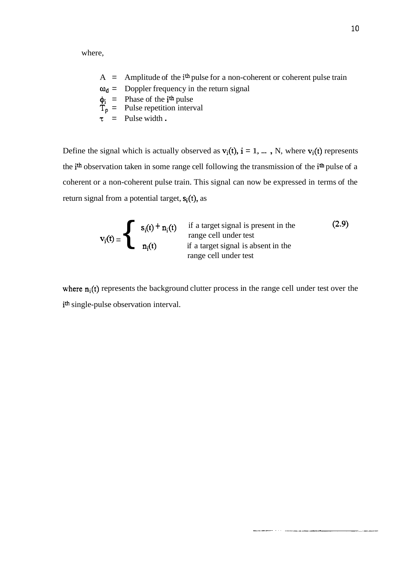where,

- A = Amplitude of the  $i<sup>th</sup>$  pulse for a non-coherent or coherent pulse train  $\omega_d$  = Doppler frequency in the return signal
- $\phi_i$  = Phase of the *i*<sup>th</sup> pulse
- $\tilde{T}_{p}$  = Pulse repetition interval
- $\tau$  = Pulse width .

Define the signal which is actually observed as  $v_i(t)$ ,  $i = 1, ...$ , N, where  $v_i(t)$  represents the ith observation taken in some range cell following the transmission of the ith pulse of a coherent or a non-coherent pulse train. This signal can now be expressed in terms of the return signal from a potential target,  $s_i(t)$ , as

$$
\mathbf{v}_{i}(t) = \begin{cases}\n\mathbf{s}_{i}(t) + \mathbf{n}_{i}(t) & \text{if a target signal is present in the} \\
\text{range cell under test} \\
\mathbf{n}_{i}(t) & \text{if a target signal is absent in the} \\
\text{range cell under test}\n\end{cases}
$$
\n(2.9)

where  $n_i(t)$  represents the background clutter process in the range cell under test over the ith single-pulse observation interval.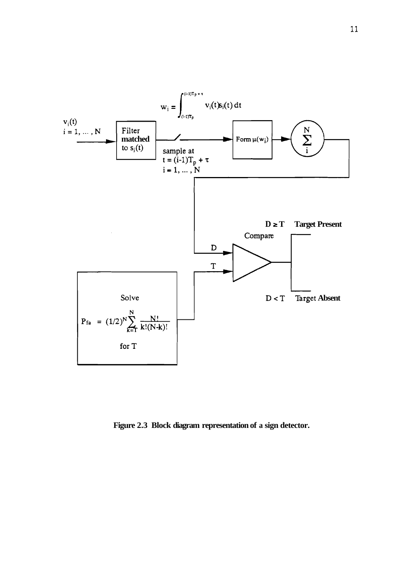

**Figure 2.3 Block diagram representation of a sign detector.**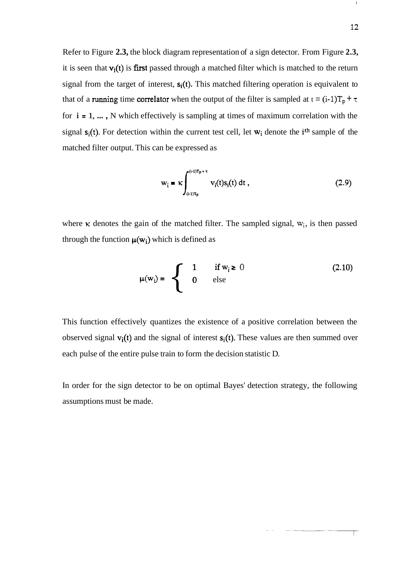Refer to Figure **2.3,** the block diagram representation of a sign detector. From Figure **2.3,**  it is seen that  $v_i(t)$  is first passed through a matched filter which is matched to the return signal from the target of interest,  $s_i(t)$ . This matched filtering operation is equivalent to that of a running time correlator when the output of the filter is sampled at  $t = (i-1)T_p + \tau$ for **i** = 1, ... , N which effectively is sampling at times of maximum correlation with the signal  $s_i(t)$ . For detection within the current test cell, let  $w_i$  denote the i<sup>th</sup> sample of the matched filter output. This can be expressed as

$$
\mathbf{w}_{i} = \kappa \int_{(i-1)T_{p}}^{(i-1)T_{p}+\tau} \mathbf{v}_{i}(t) \mathbf{s}_{i}(t) dt,
$$
 (2.9)

where  $\kappa$  denotes the gain of the matched filter. The sampled signal,  $w_i$ , is then passed through the function  $\mu(w_i)$  which is defined as

$$
\mu(w_j) = \begin{cases}\n1 & \text{if } w_j \geq 0 \\
0 & \text{else}\n\end{cases}
$$
\n(2.10)

This function effectively quantizes the existence of a positive correlation between the observed signal  $v_i(t)$  and the signal of interest  $s_i(t)$ . These values are then summed over each pulse of the entire pulse train to form the decision statistic D.

In order for the sign detector to be on optimal Bayes' detection strategy, the following assumptions must be made.

Т

 $\mathbf{I}$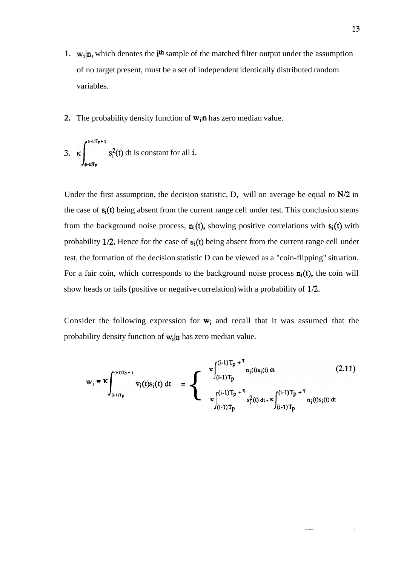- 1.  $\mathbf{w}_i | \mathbf{n}$ , which denotes the  $i^{\text{th}}$  sample of the matched filter output under the assumption of no target present, must be a set of independent identically distributed random variables.
- **2.** The probability density function of  $w_{ij}$  has zero median value.

3. 
$$
\kappa \int_{(i-1)T_p}^{(i-1)T_p+\tau} s_i^2(t) dt
$$
 is constant for all *i*.

Under the first assumption, the decision statistic, D, will on average be equal to **N/2** in the case of  $s_i(t)$  being absent from the current range cell under test. This conclusion stems from the background noise process,  $n_i(t)$ , showing positive correlations with  $s_i(t)$  with probability  $1/2$ . Hence for the case of  $s_i(t)$  being absent from the current range cell under test, the formation of the decision statistic D can be viewed as a "coin-flipping" situation. For a fair coin, which corresponds to the background noise process  $\mathbf{n}_i(t)$ , the coin will show heads or tails (positive or negative correlation) with a probability of **1/2.** 

Consider the following expression for  $w_i$  and recall that it was assumed that the probability density function of  $w_i|n$  has zero median value.

$$
w_{i} = \kappa \int_{(i-1)T_{p}}^{(i-1)T_{p}+\tau} v_{i}(t)s_{i}(t) dt = \sum_{\kappa \atop \kappa = (i-1)T_{p}} \sum_{\kappa = (i-1)T_{p}}^{\kappa \atop (i-1)T_{p}+\tau} n_{i}(t)s_{i}(t) dt
$$
\n
$$
= \sum_{\kappa = (i-1)T_{p}} \sum_{\kappa = (i-1)T_{p}}^{\kappa \atop (i-1)T_{p}+\tau} n_{i}(t)s_{i}(t) dt
$$
\n(2.11)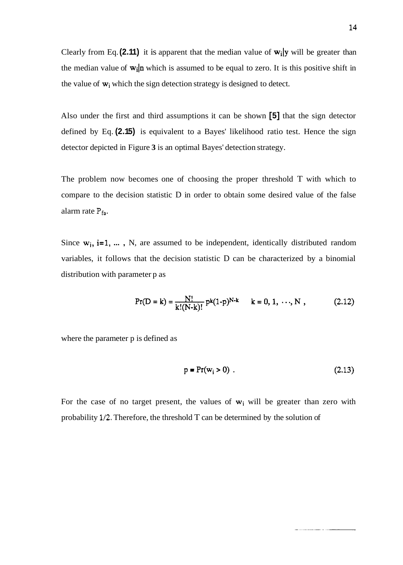Clearly from Eq.  $(2.11)$  it is apparent that the median value of  $w_i$  y will be greater than the median value of  $w_i$  m which is assumed to be equal to zero. It is this positive shift in the value of  $w_i$  which the sign detection strategy is designed to detect.

Also under the first and third assumptions it can be shown **[5]** that the sign detector defined by Eq. **(2.15)** is equivalent to a Bayes' likelihood ratio test. Hence the sign detector depicted in Figure **3** is an optimal Bayes' detection strategy.

The problem now becomes one of choosing the proper threshold T with which to compare to the decision statistic D in order to obtain some desired value of the false alarm rate **Pfa.** 

Since  $w_i$ ,  $i=1, \ldots, N$ , are assumed to be independent, identically distributed random variables, it follows that the decision statistic D can be characterized by a binomial distribution with parameter p as

$$
Pr(D = k) = \frac{N!}{k!(N-k)!} p^{k}(1-p)^{N-k} \quad k = 0, 1, \dots, N,
$$
 (2.12)

where the parameter p is defined as

$$
p = Pr(wi > 0) . \t(2.13)
$$

For the case of no target present, the values of  $w_i$  will be greater than zero with probability **1/2.** Therefore, the threshold T can be determined by the solution of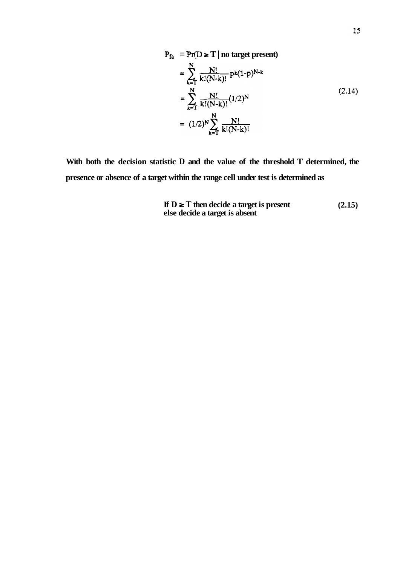$$
P_{fa} = Pr(D \ge T | no target present)
$$
  
= 
$$
\sum_{k=1}^{N} \frac{N!}{k!(N-k)!} p^{k}(1-p)^{N-k}
$$
  
= 
$$
\sum_{k=1}^{N} \frac{N!}{k!(N-k)!} (1/2)^{N}
$$
  
= 
$$
(1/2)^{N} \sum_{k=1}^{N} \frac{N!}{k!(N-k)!}
$$
 (2.14)

**With both the decision statistic D and the value of the threshold T determined, the presence or absence of a target within the range cell under test is determined as** 

If 
$$
D \geq T
$$
 then decide a target is present  
else decide a target is absent\n
$$
(2.15)
$$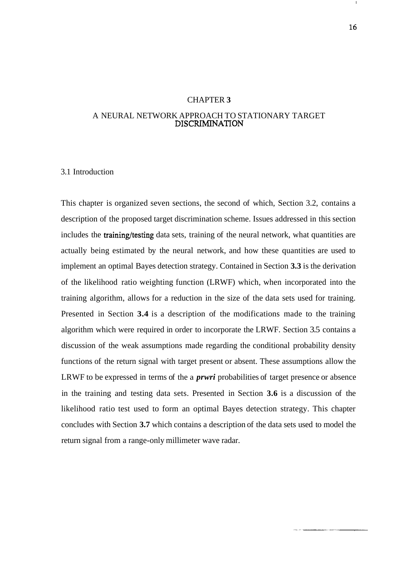#### CHAPTER **3**

#### A NEURAL NETWORK APPROACH TO STATIONARY TARGET DISCRIMINATION

#### 3.1 Introduction

This chapter is organized seven sections, the second of which, Section 3.2, contains a description of the proposed target discrimination scheme. Issues addressed in this section includes the **training/testing** data sets, training of the neural network, what quantities are actually being estimated by the neural network, and how these quantities are used to implement an optimal Bayes detection strategy. Contained in Section **3.3** is the derivation of the likelihood ratio weighting function (LRWF) which, when incorporated into the training algorithm, allows for a reduction in the size of the data sets used for training. Presented in Section **3.4** is a description of the modifications made to the training algorithm which were required in order to incorporate the LRWF. Section 3.5 contains a discussion of the weak assumptions made regarding the conditional probability density functions of the return signal with target present or absent. These assumptions allow the LRWF to be expressed in terms of the a *prwri* probabilities of target presence or absence in the training and testing data sets. Presented in Section **3.6** is a discussion of the likelihood ratio test used to form an optimal Bayes detection strategy. This chapter concludes with Section **3.7** which contains a description of the data sets used to model the return signal from a range-only millimeter wave radar.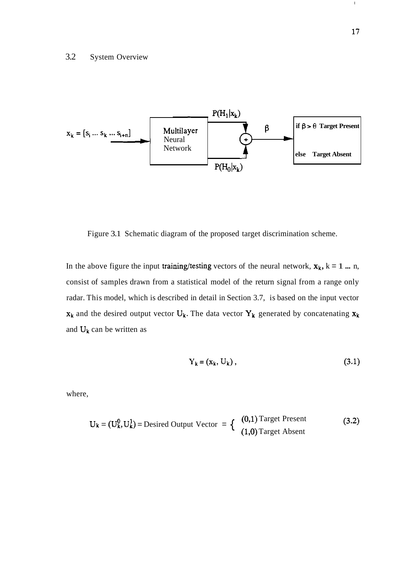

Figure 3.1 Schematic diagram of the proposed target discrimination scheme.

In the above figure the input training/testing vectors of the neural network,  $x_k$ ,  $k = 1$  ... n, consist of samples drawn from a statistical model of the return signal from a range only radar. This model, which is described in detail in Section 3.7, is based on the input vector  $x_k$  and the desired output vector  $U_k$ . The data vector  $Y_k$  generated by concatenating  $x_k$ and  $U_k$  can be written as

$$
Y_k = (x_k, U_k), \tag{3.1}
$$

where,

$$
U_k = (U_k^0, U_k^1) = \text{Desired Output Vector} = \left\{ \begin{array}{ll} (0,1) \text{Target Present} \\ (1,0) \text{Target Absent} \end{array} \right. \tag{3.2}
$$

 $\mathbf{I}_\parallel$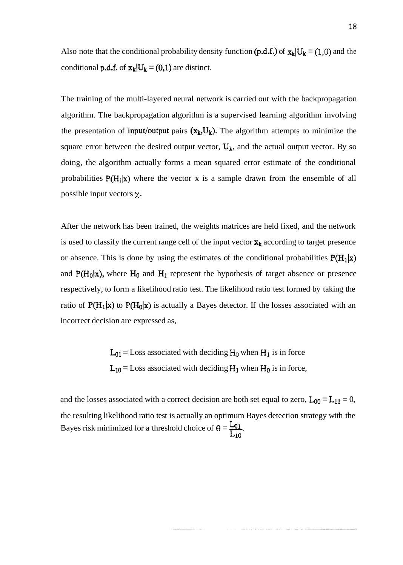Also note that the conditional probability density function  $(p.d.f.)$  of  $\mathbf{x}_k|U_k = (1,0)$  and the conditional **p.d.f.** of  $\mathbf{x}_k|U_k = (0,1)$  are distinct.

The training of the multi-layered neural network is carried out with the backpropagation algorithm. The backpropagation algorithm is a supervised learning algorithm involving the presentation of input/output pairs  $(x_k, U_k)$ . The algorithm attempts to minimize the square error between the desired output vector,  $U_k$ , and the actual output vector. By so doing, the algorithm actually forms a mean squared error estimate of the conditional probabilities  $P(H_i|x)$  where the vector x is a sample drawn from the ensemble of all possible input vectors **X.** 

After the network has been trained, the weights matrices are held fixed, and the network is used to classify the current range cell of the input vector  $x_k$  according to target presence or absence. This is done by using the estimates of the conditional probabilities  $P(H_1|x)$ and  $P(H_0|x)$ , where  $H_0$  and  $H_1$  represent the hypothesis of target absence or presence respectively, to form a likelihood ratio test. The likelihood ratio test formed by taking the ratio of  $P(H_1|x)$  to  $P(H_0|x)$  is actually a Bayes detector. If the losses associated with an incorrect decision are expressed as,

> $L_{01}$  = Loss associated with deciding  $H_0$  when  $H_1$  is in force  $L_{10}$  = Loss associated with deciding  $H_1$  when  $H_0$  is in force,

and the losses associated with a correct decision are both set equal to zero,  $L_{00} = L_{11} = 0$ , the resulting likelihood ratio test is actually an optimum Bayes detection strategy with the Bayes risk minimized for a threshold choice of  $\theta = \frac{L_{01}}{L_{10}}$ .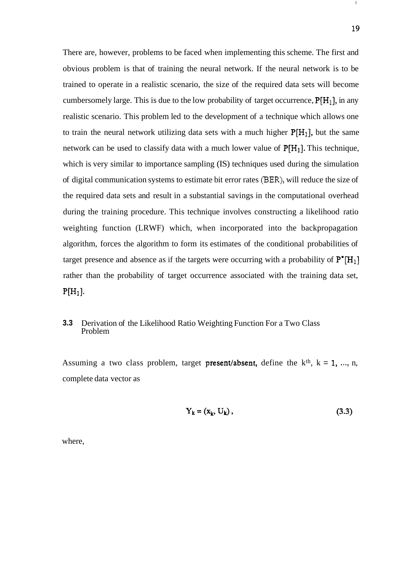There are, however, problems to be faced when implementing this scheme. The first and obvious problem is that of training the neural network. If the neural network is to be trained to operate in a realistic scenario, the size of the required data sets will become cumbersomely large. This is due to the low probability of target occurrence,  $P[H_1]$ , in any realistic scenario. This problem led to the development of a technique which allows one to train the neural network utilizing data sets with a much higher  $P[H_1]$ , but the same network can be used to classify data with a much lower value of  $P[H_1]$ . This technique, which is very similar to importance sampling (IS) techniques used during the simulation of digital communication systems to estimate bit error rates **(BER),** will reduce the size of the required data sets and result in a substantial savings in the computational overhead during the training procedure. This technique involves constructing a likelihood ratio weighting function (LRWF) which, when incorporated into the backpropagation algorithm, forces the algorithm to form its estimates of the conditional probabilities of target presence and absence as if the targets were occurring with a probability of  $P^* [H_1]$ rather than the probability of target occurrence associated with the training data set,  $P[H_1]$ .

#### **3.3** Derivation of the Likelihood Ratio Weighting Function For a Two Class Problem

Assuming a two class problem, target present/absent, define the  $k<sup>th</sup>$ ,  $k = 1, ..., n$ , complete data vector as

$$
Y_k = (x_k, U_k), \tag{3.3}
$$

where,

 $\mathbf I$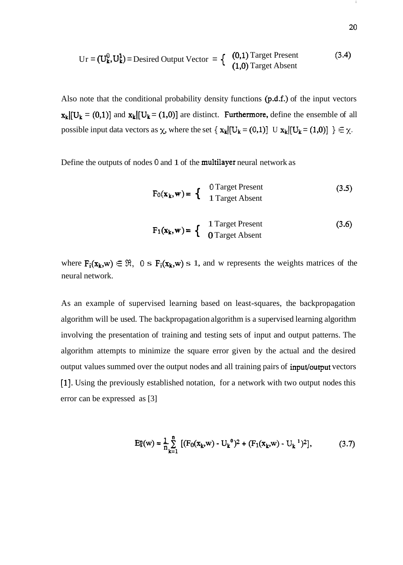$$
Ur = (U_k^0, U_k^1) = \text{Desired Output Vector} = \begin{cases} (0,1) \text{Target Present} \\ (1,0) \text{Target Absent} \end{cases} \tag{3.4}
$$

Also note that the conditional probability density functions  $(p.d.f.)$  of the input vectors  $x_k[[U_k = (0,1)]$  and  $x_k[[U_k = (1,0)]$  are distinct. Furthermore, define the ensemble of all possible input data vectors as  $\chi$ , where the set  $\{ x_k | [U_k = (0,1)] \cup x_k | [U_k = (1,0)] \} \in \chi$ .

Define the outputs of nodes **0** and 1 of the multilayer neural network as

$$
F_0(x_k, w) = \begin{cases} 0 \text{Target Present} \\ 1 \text{Target Absent} \end{cases}
$$
 (3.5)

$$
F_1(\mathbf{x}_k, \mathbf{w}) = \begin{cases} 1 \text{Target Present} \\ 0 \text{Target Absent} \end{cases}
$$
 (3.6)

where  $F_i(x_k, w) \in \mathcal{R}$ ,  $0 \le F_i(x_k, w) \le 1$ , and w represents the weights matrices of the neural network.

As an example of supervised learning based on least-squares, the backpropagation algorithm will be used. The backpropagation algorithm is a supervised learning algorithm involving the presentation of training and testing sets of input and output patterns. The algorithm attempts to minimize the square error given by the actual and the desired output values summed over the output nodes and all training pairs of input/output vectors [I]. Using the previously established notation, for a network with two output nodes this error can be expressed as [3]

$$
E_s^n(w) = \frac{1}{n} \sum_{k=1}^n \left[ (F_0(x_k, w) - U_k^0)^2 + (F_1(x_k, w) - U_k^{-1})^2 \right],
$$
 (3.7)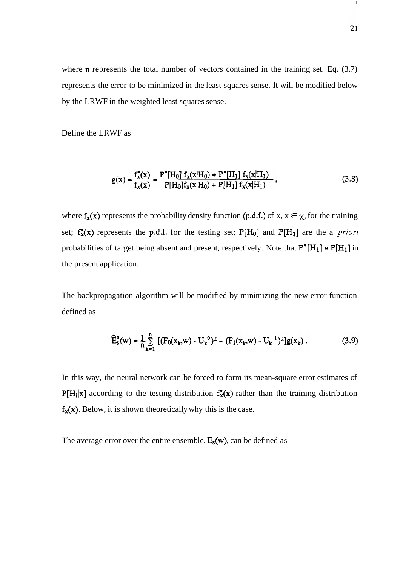where **n** represents the total number of vectors contained in the training set. Eq.  $(3.7)$ represents the error to be minimized in the least squares sense. It will be modified below by the LRWF in the weighted least squares sense.

Define the LRWF as

$$
g(x) = \frac{f_x^*(x)}{f_x(x)} = \frac{P^*[H_0] f_x(x|H_0) + P^*[H_1] f_x(x|H_1)}{P[H_0] f_x(x|H_0) + P[H_1] f_x(x|H_1)},
$$
\n(3.8)

where  $f_x(x)$  represents the probability density function  $(p.d.f.)$  of x,  $x \in \chi$ , for the training set;  $f_x^*(x)$  represents the p.d.f. for the testing set;  $P[H_0]$  and  $P[H_1]$  are the a *priori* probabilities of target being absent and present, respectively. Note that  $P^*[H_1] \propto P[H_1]$  in the present application.

The backpropagation algorithm will be modified by minimizing the new error function defined as

$$
\widehat{E}_{s}^{n}(w) = \frac{1}{n} \sum_{k=1}^{n} \left[ (F_{0}(x_{k}, w) - U_{k}^{0})^{2} + (F_{1}(x_{k}, w) - U_{k}^{1})^{2} \right] g(x_{k}). \tag{3.9}
$$

In this way, the neural network can be forced to form its mean-square error estimates of  $P[H_i|x]$  according to the testing distribution  $f_x^*(x)$  rather than the training distribution  $f_{x}(x)$ . Below, it is shown theoretically why this is the case.

The average error over the entire ensemble,  $E_s(w)$ , can be defined as

 $\mathbf{I}$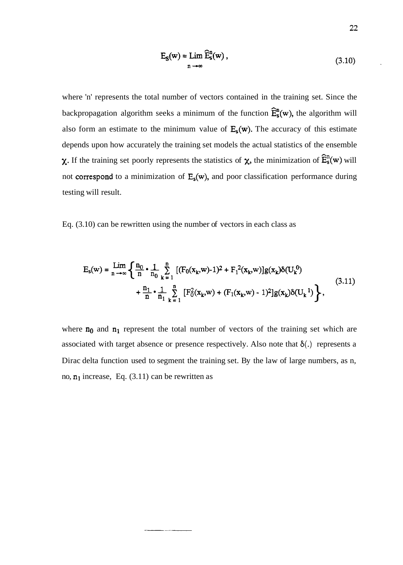$$
E_S(w) = \lim_{n \to \infty} \widehat{E}_S^n(w), \qquad (3.10)
$$

where 'n' represents the total number of vectors contained in the training set. Since the backpropagation algorithm seeks a minimum of the function  $\hat{E}_{s}^{n}(w)$ , the algorithm will also form an estimate to the minimum value of  $E_s(w)$ . The accuracy of this estimate depends upon how accurately the training set models the actual statistics of the ensemble  $\chi$ . If the training set poorly represents the statistics of  $\chi$ , the minimization of  $\widehat{E}_s^n(w)$  will not correspond to a minimization of  $E_s(w)$ , and poor classification performance during testing will result.

Eq. (3.10) can be rewritten using the number of vectors in each class as

$$
E_{s}(w) = \lim_{n \to \infty} \left\{ \frac{n_{0}}{n} \cdot \frac{1}{n_{0}} \sum_{k=1}^{n} \left[ (F_{0}(x_{k}, w) - 1)^{2} + F_{1}^{2}(x_{k}, w) \right] g(x_{k}) \delta(U_{k}^{0}) + \frac{n_{1}}{n} \cdot \frac{1}{n_{1}} \sum_{k=1}^{n} \left[ F_{0}^{2}(x_{k}, w) + (F_{1}(x_{k}, w) - 1)^{2} \right] g(x_{k}) \delta(U_{k}^{1}) \right\},
$$
\n(3.11)

where  $n_0$  and  $n_1$  represent the total number of vectors of the training set which are associated with target absence or presence respectively. Also note that  $\delta(.)$  represents a Dirac delta function used to segment the training set. By the law of large numbers, as n, no,  $n_1$  increase, Eq. (3.11) can be rewritten as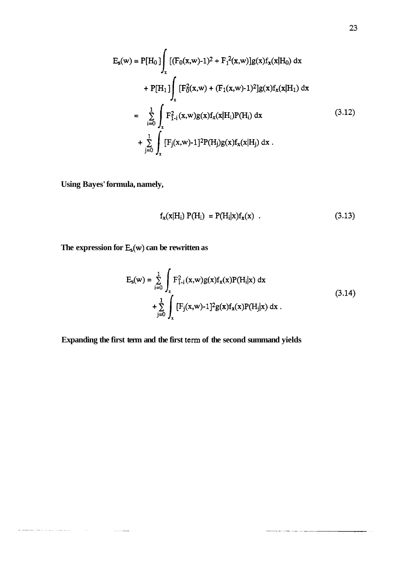$$
E_{s}(w) = P[H_{0}] \int_{x} [(F_{0}(x,w)-1)^{2} + F_{1}^{2}(x,w)]g(x)f_{x}(x|H_{0}) dx
$$
  
+ P[H<sub>1</sub>]  $\int_{x} [F_{0}^{2}(x,w) + (F_{1}(x,w)-1)^{2}]g(x)f_{x}(x|H_{1}) dx$   
=  $\sum_{i=0}^{1} \int_{x} F_{1-i}^{2}(x,w)g(x)f_{x}(x|H_{i})P(H_{i}) dx$  (3.12)  
+  $\sum_{j=0}^{1} \int_{x} [F_{j}(x,w)-1]^{2}P(H_{j})g(x)f_{x}(x|H_{j}) dx$ .

**Using Bayes' formula, namely,** 

 $\label{eq:2.1} \begin{split} \text{where } & \text{the sameness of } \mathcal{M}(\mathbf{x}) = \mathbf{y} \text{ and } \mathbf{y} \text{ is } \mathbf{y} \text{ is } \mathbf{y} \text{ is } \mathbf{y} \text{ is } \mathbf{y} \text{ is } \mathbf{y} \text{ is } \mathbf{y} \text{ is } \mathbf{y} \text{ is } \mathbf{y} \text{ is } \mathbf{y} \text{ is } \mathbf{y} \text{ is } \mathbf{y} \text{ is } \mathbf{y} \text{ is } \mathbf{y} \text{ is } \mathbf{y} \text{ is } \mathbf{$ 

$$
f_{x}(x|H_{i}) P(H_{i}) = P(H_{i}|x) f_{x}(x) . \qquad (3.13)
$$

The expression for  $E_s(w)$  can be rewritten as

**The Contract Comment** 

$$
E_{s}(w) = \sum_{i=0}^{1} \int_{x} F_{1-i}^{2}(x, w) g(x) f_{x}(x) P(H_{i}|x) dx
$$
  
+ 
$$
\sum_{j=0}^{1} \int_{x} [F_{j}(x, w) - 1]^{2} g(x) f_{x}(x) P(H_{j}|x) dx
$$
 (3.14)

Expanding the first term and the first term of the second summand yields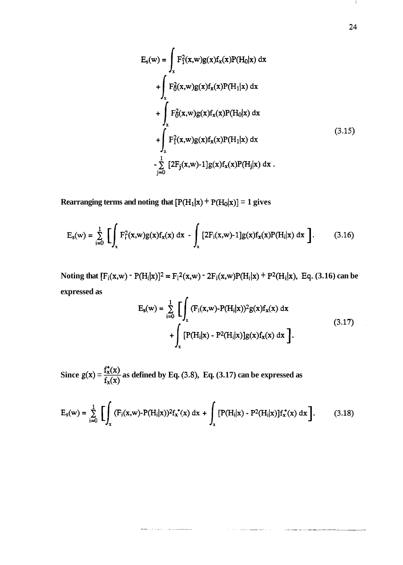$$
E_{s}(w) = \int_{x} F_{1}^{2}(x, w)g(x)f_{x}(x)P(H_{0}|x) dx
$$
  
+ 
$$
\int_{x} F_{0}^{2}(x, w)g(x)f_{x}(x)P(H_{1}|x) dx
$$
  
+ 
$$
\int_{x} F_{0}^{2}(x, w)g(x)f_{x}(x)P(H_{0}|x) dx
$$
  
+ 
$$
\int_{x} F_{1}^{2}(x, w)g(x)f_{x}(x)P(H_{1}|x) dx
$$
  
- 
$$
\sum_{j=0}^{1} [2F_{j}(x, w)-1]g(x)f_{x}(x)P(H_{j}|x) dx
$$
 (3.15)

**Rearranging terms and noting that**  $[P(H_1|x) + P(H_0|x)] = 1$  **gives** 

$$
E_{s}(w) = \sum_{i=0}^{1} \left[ \int_{x} F_{i}^{2}(x, w) g(x) f_{x}(x) dx - \int_{x} [2F_{i}(x, w) - 1] g(x) f_{x}(x) P(H_{i}|x) dx \right].
$$
 (3.16)

**Noting that**  $[F_i(x,w) - P(H_i|x)]^2 = F_i^2(x,w) - 2F_i(x,w)P(H_i|x) + P^2(H_i|x)$ **, Eq. (3.16) can be expressed as** 

$$
E_{s}(w) = \sum_{i=0}^{1} \left[ \int_{x} (F_{i}(x, w) - P(H_{i}|x))^{2} g(x) f_{x}(x) dx + \int_{x} [P(H_{i}|x) - P^{2}(H_{i}|x)] g(x) f_{x}(x) dx \right].
$$
\n(3.17)

Since  $g(x) = \frac{F(x)}{f(x)}$  as defined by Eq. (3.8), Eq. (3.17) can be expressed as  $\mathbf{r}_\mathbf{x}(\mathbf{x})$ 

**The Second Line Contract Contract Contract Contract Contract Contract Contract Contract Contract Contract Contract Contract Contract Contract Contract Contract Contract Contract Contract Contract Contract Contract Contrac** 

$$
E_s(w) = \sum_{i=0}^{1} \left[ \int_x (F_i(x, w) - P(H_i|x))^2 f_x^*(x) dx + \int_x [P(H_i|x) - P^2(H_i|x)] f_x^*(x) dx \right].
$$
 (3.18)

 $\mathbf{I}$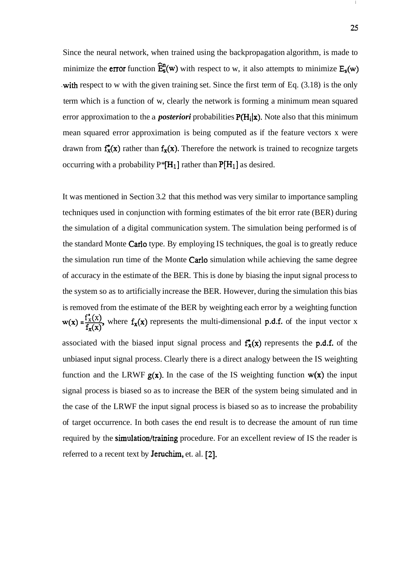Since the neural network, when trained using the backpropagation algorithm, is made to minimize the **error** function  $\hat{E}_s^n(w)$  with respect to w, it also attempts to minimize  $E_s(w)$ with respect to w with the given training set. Since the first term of Eq.  $(3.18)$  is the only term which is a function of w, clearly the network is forming a minimum mean squared error approximation to the a *posteriori* probabilities  $P(H_i|x)$ . Note also that this minimum mean squared error approximation is being computed as if the feature vectors x were drawn from  $f_x^*(x)$  rather than  $f_x(x)$ . Therefore the network is trained to recognize targets occurring with a probability  $P^*[H_1]$  rather than  $P[H_1]$  as desired.

It was mentioned in Section 3.2 that this method was very similar to importance sampling techniques used in conjunction with forming estimates of the bit error rate (BER) during the simulation of a digital communication system. The simulation being performed is of the standard Monte Carlo type. By employing IS techniques, the goal is to greatly reduce the simulation run time of the Monte Carlo simulation while achieving the same degree of accuracy in the estimate of the BER. This is done by biasing the input signal process to the system so as to artificially increase the BER. However, during the simulation this bias is removed from the estimate of the BER by weighting each error by a weighting function  $w(x) = \frac{f'_x(x)}{f_x(x)}$ , where  $f_x(x)$  represents the multi-dimensional p.d.f. of the input vector x associated with the biased input signal process and  $f_{x}(x)$  represents the p.d.f. of the unbiased input signal process. Clearly there is a direct analogy between the IS weighting function and the LRWF  $g(x)$ . In the case of the IS weighting function  $w(x)$  the input signal process is biased so as to increase the BER of the system being simulated and in the case of the LRWF the input signal process is biased so as to increase the probability of target occurrence. In both cases the end result is to decrease the amount of run time required by the **simulation/training** procedure. For an excellent review of IS the reader is referred to a recent text by Jeruchim, et. al. [2].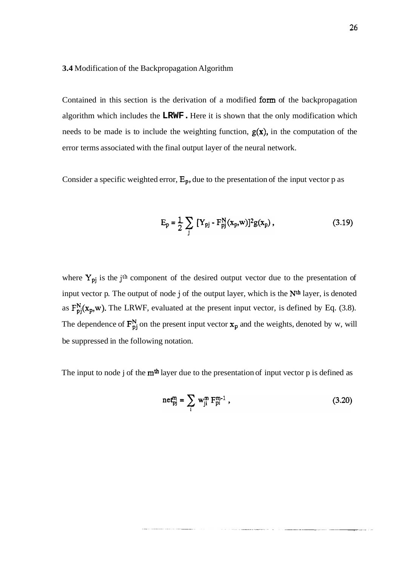#### **3.4** Modification of the Backpropagation Algorithm

Contained in this section is the derivation of a modified form of the backpropagation algorithm which includes the **LRWF.** Here it is shown that the only modification which needs to be made is to include the weighting function,  $g(x)$ , in the computation of the error terms associated with the final output layer of the neural network.

Consider a specific weighted error,  $E_p$ , due to the presentation of the input vector p as

$$
E_p = \frac{1}{2} \sum_{j} [Y_{pj} - F_{pj}^{N}(x_p, w)]^2 g(x_p), \qquad (3.19)
$$

where Y<sub>pj</sub> is the j<sup>th</sup> component of the desired output vector due to the presentation of input vector p. The output of node j of the output layer, which is the **Nth** layer, is denoted as  $F_{pj}^{N}(x_p,w)$ . The LRWF, evaluated at the present input vector, is defined by Eq. (3.8). The dependence of  $\mathbf{F}_{pj}^{N}$  on the present input vector  $\mathbf{x}_p$  and the weights, denoted by w, will be suppressed in the following notation.

The input to node j of the  $m<sup>th</sup>$  layer due to the presentation of input vector p is defined as

$$
net_{pj}^{m} = \sum_{i} w_{ji}^{m} F_{pi}^{m-1}, \qquad (3.20)
$$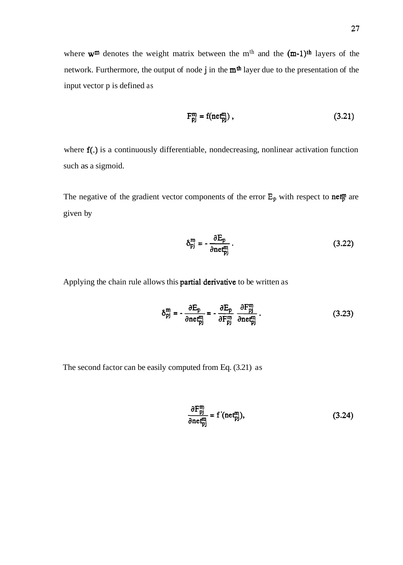$$
F_{pj}^m = f(\text{net}_{pj}^m), \qquad (3.21)
$$

where  $f(.)$  is a continuously differentiable, nondecreasing, nonlinear activation function such as a sigmoid.

The negative of the gradient vector components of the error  $E_p$  with respect to net<sup>p</sup> are given by

$$
\delta_{\rm pj}^{\rm m} = -\frac{\partial E_{\rm p}}{\partial \rm{net}_{\rm pj}^{\rm m}}\,. \tag{3.22}
$$

Applying the chain rule allows this **partial derivative** to be written as

$$
\delta_{pj}^{m} = -\frac{\partial E_p}{\partial net_{pj}^{m}} = -\frac{\partial E_p}{\partial F_{pj}^{m}} \frac{\partial F_{pj}^{m}}{\partial net_{pj}^{m}}.
$$
 (3.23)

The second factor can be easily computed from Eq. (3.21) as

$$
\frac{\partial F_{pj}^{m}}{\partial net_{pj}^{m}} = f'(net_{pj}^{m}),\tag{3.24}
$$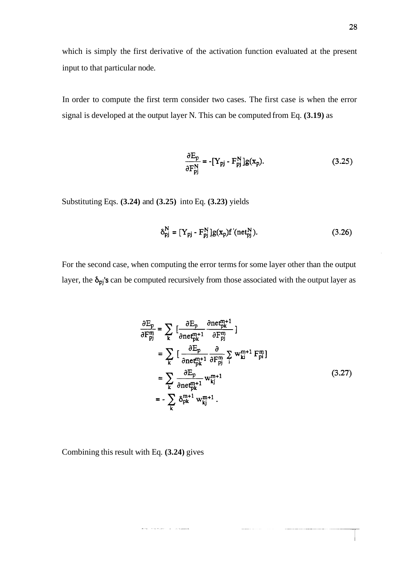which is simply the first derivative of the activation function evaluated at the present input to that particular node.

In order to compute the first term consider two cases. The first case is when the error signal is developed at the output layer N. This can be computed from Eq. **(3.19)** as

$$
\frac{\partial E_p}{\partial F_{pj}^N} = -[Y_{pj} - F_{pj}^N]g(x_p). \tag{3.25}
$$

Substituting Eqs. **(3.24)** and **(3.25)** into Eq. **(3.23)** yields

$$
\delta_{pj}^{N} = [Y_{pj} - F_{pj}^{N}] g(x_p) f'(net_{pj}^{N}).
$$
\n(3.26)

For the second case, when computing the error terms for some layer other than the output layer, the  $\delta_{pj}$ 's can be computed recursively from those associated with the output layer as

$$
\frac{\partial E_p}{\partial F_p^m} = \sum_{k} \left[ \frac{\partial E_p}{\partial n e_{pk}^{m+1}} \frac{\partial n e_{pk}^{m+1}}{\partial F_p^m} \right]
$$
  
\n
$$
= \sum_{k} \left[ \frac{\partial E_p}{\partial n e_{pk}^{m+1}} \frac{\partial}{\partial F_p^m} \sum_{i} w_{ki}^{m+1} F_{pi}^m \right]
$$
  
\n
$$
= \sum_{k} \frac{\partial E_p}{\partial n e_{pk}^{m+1}} w_{kj}^{m+1}
$$
  
\n
$$
= - \sum_{k} \delta_{pk}^{m+1} w_{kj}^{m+1} .
$$
 (3.27)

**Construction** 

Combining this result with Eq. **(3.24)** gives

the contract of the contract of the contract of the contract of the contract of the contract of the contract of the contract of the contract of the contract of the contract of the contract of the contract of the contract o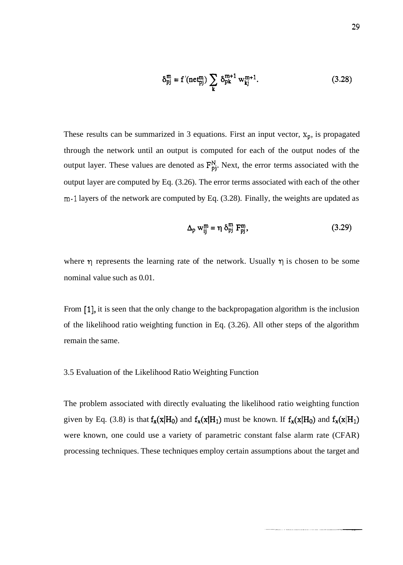$$
\delta_{pj}^{m} = f'(net_{pj}^{m}) \sum_{k} \delta_{pk}^{m+1} w_{kj}^{m+1}.
$$
 (3.28)

These results can be summarized in 3 equations. First an input vector,  $x_p$ , is propagated through the network until an output is computed for each of the output nodes of the output layer. These values are denoted as  $F_{pj}^N$ . Next, the error terms associated with the output layer are computed by Eq. (3.26). The error terms associated with each of the other m-1 layers of the network are computed by Eq. (3.28). Finally, the weights are updated as

$$
\Delta_{\rm p} \, \mathbf{w}_{\rm ij}^{\rm m} = \eta \, \delta_{\rm pj}^{\rm m} \, \mathbf{F}_{\rm pj}^{\rm m},\tag{3.29}
$$

where  $\eta$  represents the learning rate of the network. Usually  $\eta$  is chosen to be some nominal value such as 0.01.

From [I], it is seen that the only change to the backpropagation algorithm is the inclusion of the likelihood ratio weighting function in Eq. (3.26). All other steps of the algorithm remain the same.

#### 3.5 Evaluation of the Likelihood Ratio Weighting Function

The problem associated with directly evaluating the likelihood ratio weighting function given by Eq. (3.8) is that  $f_x(x|H_0)$  and  $f_x(x|H_1)$  must be known. If  $f_x(x|H_0)$  and  $f_x(x|H_1)$ were known, one could use a variety of parametric constant false alarm rate (CFAR) processing techniques. These techniques employ certain assumptions about the target and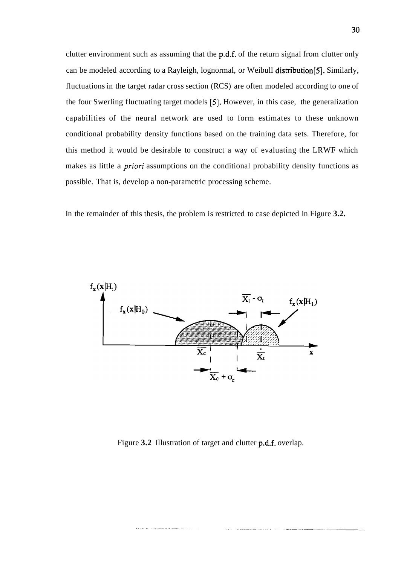clutter environment such as assuming that the p.d.f. of the return signal from clutter only can be modeled according to a Rayleigh, lognormal, or Weibull distribution[S]. Similarly, fluctuations in the target radar cross section (RCS) are often modeled according to one of the four Swerling fluctuating target models **[S].** However, in this case, the generalization capabilities of the neural network are used to form estimates to these unknown conditional probability density functions based on the training data sets. Therefore, for this method it would be desirable to construct a way of evaluating the LRWF which makes as little a *priori* assumptions on the conditional probability density functions as possible. That is, develop a non-parametric processing scheme.

In the remainder of this thesis, the problem is restricted to case depicted in Figure **3.2.** 



Figure **3.2** Illustration of target and clutter p.d.f. overlap.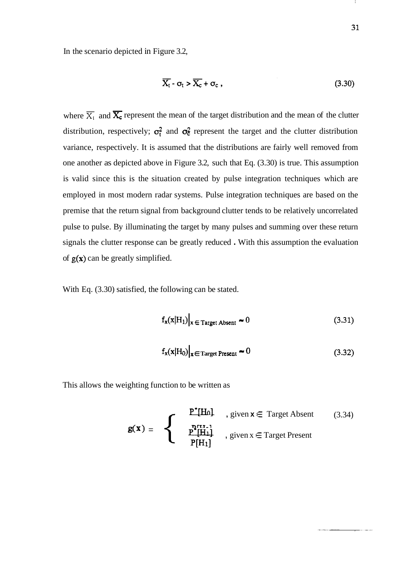In the scenario depicted in Figure 3.2,

$$
\overline{X_t} \cdot \sigma_t > \overline{X_c} + \sigma_c \,, \tag{3.30}
$$

where  $\overline{X}_1$  and  $\overline{X}_c$  represent the mean of the target distribution and the mean of the clutter distribution, respectively;  $\sigma_t^2$  and  $\sigma_{\epsilon}^2$  represent the target and the clutter distribution variance, respectively. It is assumed that the distributions are fairly well removed from one another as depicted above in Figure 3.2, such that Eq. (3.30) is true. This assumption is valid since this is the situation created by pulse integration techniques which are employed in most modern radar systems. Pulse integration techniques are based on the premise that the return signal from background clutter tends to be relatively uncorrelated pulse to pulse. By illuminating the target by many pulses and summing over these return signals the clutter response can be greatly reduced . With this assumption the evaluation of  $g(x)$  can be greatly simplified.

With Eq. (3.30) satisfied, the following can be stated.

$$
f_{\mathbf{x}}(\mathbf{x}|\mathbf{H}_1)|_{\mathbf{x} \in \text{Target Absent}} \sim 0
$$
 (3.31)

$$
f_{\mathbf{x}}(\mathbf{x}|H_0)\big|_{\mathbf{x} \in \text{Target Present}} \approx 0
$$
 (3.32)

This allows the weighting function to be written as

$$
g(x) = \begin{cases} P^*[\text{Hol}] & , \text{ given } x \in \text{Target Absent} \\ P^{\text{FU-1}} & , \text{ given } x \in \text{Target Present} \\ P[H_1] & , \text{ given } x \in \text{Target Present} \end{cases} \tag{3.34}
$$

-1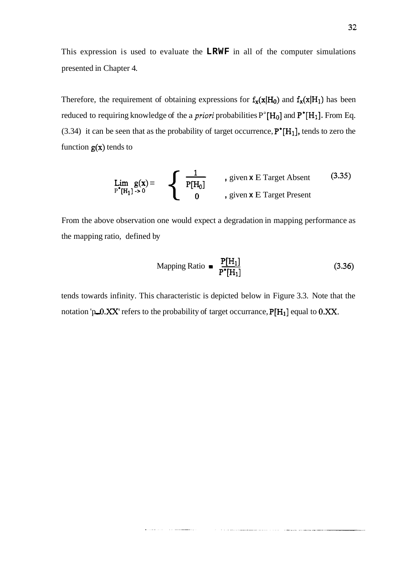This expression is used to evaluate the **LRWF** in all of the computer simulations presented in Chapter 4.

Therefore, the requirement of obtaining expressions for  $f_x(x|H_0)$  and  $f_x(x|H_1)$  has been reduced to requiring knowledge of the a *priori* probabilities  $P^{\text{a}}[H_0]$  and  $P^{\text{t}}[H_1]$ . From Eq. (3.34) it can be seen that as the probability of target occurrence,  $P^*[H_1]$ , tends to zero the function  $g(x)$  tends to

$$
\lim_{P^*[H_1] \to 0} g(x) = \n\begin{cases}\n\frac{1}{P[H_0]} & \text{given } x \to \text{Target Absent} \\
0 & \text{given } x \to \text{Target Present}\n\end{cases}\n\tag{3.35}
$$

From the above observation one would expect a degradation in mapping performance as the mapping ratio, defined by one would expect a degradation in<br>y<br>Mapping Ratio  $\blacksquare$   $\frac{P[H_1]}{P^{\bullet}[H_1]}$ 

$$
\text{Mapping Ratio} = \frac{P[H_1]}{P^{\bullet}[H_1]} \tag{3.36}
$$

tends towards infinity. This characteristic is depicted below in Figure 3.3. Note that the notation 'p\_0.XX' refers to the probability of target occurrance,  $P[H_1]$  equal to 0.XX.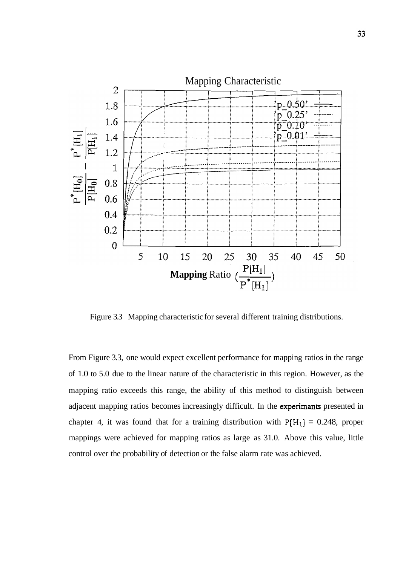

Figure 3.3 Mapping characteristic for several different training distributions.

From Figure 3.3, one would expect excellent performance for mapping ratios in the range of 1.0 to 5.0 due to the linear nature of the characteristic in this region. However, as the mapping ratio exceeds this range, the ability of this method to distinguish between adjacent mapping ratios becomes increasingly difficult. In the experimants presented in chapter 4, it was found that for a training distribution with  $P[H_1] = 0.248$ , proper mappings were achieved for mapping ratios as large as 31.0. Above this value, little control over the probability of detection or the false alarm rate was achieved.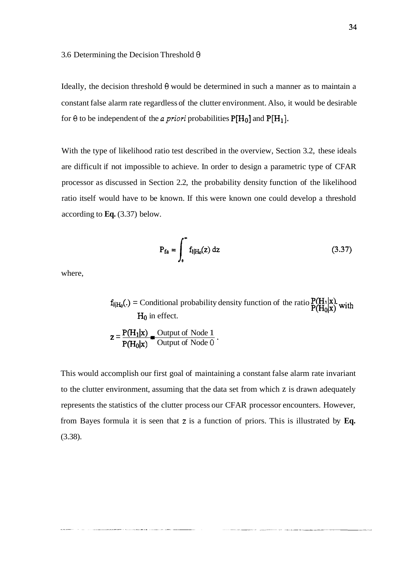Ideally, the decision threshold  $\theta$  would be determined in such a manner as to maintain a constant false alarm rate regardless of the clutter environment. Also, it would be desirable for  $\theta$  to be independent of the *a priori* probabilities  $P[H_0]$  and  $P[H_1]$ .

With the type of likelihood ratio test described in the overview, Section 3.2, these ideals are difficult if not impossible to achieve. In order to design a parametric type of CFAR processor as discussed in Section 2.2, the probability density function of the likelihood ratio itself would have to be known. If this were known one could develop a threshold according to **Eq.** (3.37) below.

$$
P_{fa} = \int_{a}^{\infty} f_{l|H_0}(z) dz
$$
 (3.37)

where,

 $f_{\parallel H_0}()$  = Conditional probability density function of the ratio  $P(H_1|x)$  with  $H_0$  in effect.  $P(H_0|x)$ 

$$
z = \frac{P(H_1|x)}{P(H_0|x)} = \frac{\text{Output of Node 1}}{\text{Output of Node 0}}.
$$

This would accomplish our first goal of maintaining a constant false alarm rate invariant to the clutter environment, assuming that the data set from which z is drawn adequately represents the statistics of the clutter process our CFAR processor encounters. However, from Bayes formula it is seen that **z** is a function of priors. This is illustrated by **Eq.**  (3.38).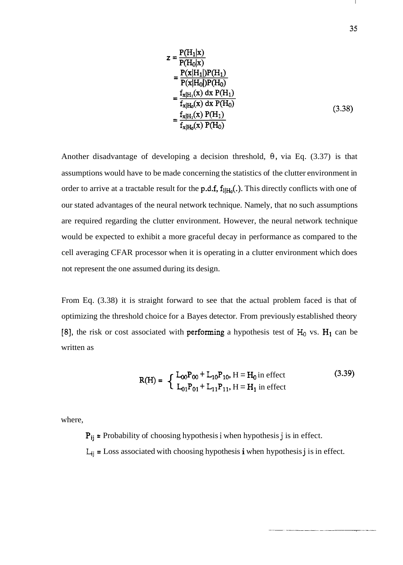$$
z = \frac{P(H_1|x)}{P(H_0|x)}
$$
  
=  $\frac{P(x|H_1|)P(H_1)}{P(x|H_0|)P(H_0)}$   
=  $\frac{f_{x|H_1}(x) dx P(H_1)}{f_{x|H_0}(x) dx P(H_0)}$   
=  $\frac{f_{x|H_1}(x) P(H_1)}{f_{x|H_0}(x) P(H_0)}$  (3.38)

Another disadvantage of developing a decision threshold,  $\theta$ , via Eq. (3.37) is that assumptions would have to be made concerning the statistics of the clutter environment in order to arrive at a tractable result for the p.d.f,  $f_{I|H_0}(.)$ . This directly conflicts with one of our stated advantages of the neural network technique. Namely, that no such assumptions are required regarding the clutter environment. However, the neural network technique would be expected to exhibit a more graceful decay in performance as compared to the cell averaging CFAR processor when it is operating in a clutter environment which does not represent the one assumed during its design.

From Eq. (3.38) it is straight forward to see that the actual problem faced is that of optimizing the threshold choice for a Bayes detector. From previously established theory [8], the risk or cost associated with performing a hypothesis test of  $H_0$  vs.  $H_1$  can be written as

$$
R(H) = \begin{cases} L_{00}P_{00} + L_{10}P_{10}, H = H_0 \text{ in effect} \\ L_{01}P_{01} + L_{11}P_{11}, H = H_1 \text{ in effect} \end{cases}
$$
(3.39)

where,

Pij = Probability of choosing hypothesis i when hypothesis **j** is in effect.

 $L_{ij}$  = Loss associated with choosing hypothesis i when hypothesis j is in effect.

 $\mathbf{I}$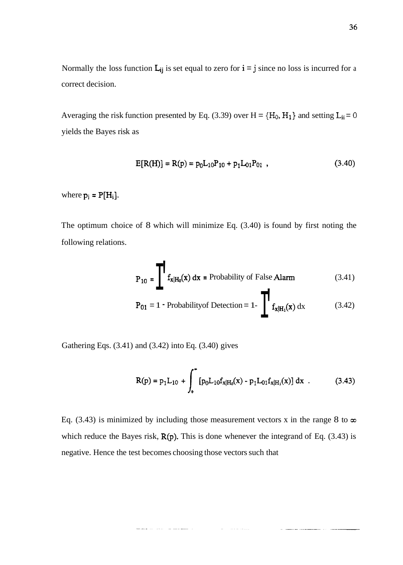Normally the loss function  $L_{ij}$  is set equal to zero for  $i = j$  since no loss is incurred for a correct decision.

Averaging the risk function presented by Eq. (3.39) over  $H = \{H_0, H_1\}$  and setting  $L_{ii} = 0$ yields the Bayes risk as

$$
E[R(H)] = R(p) = p_0 L_{10} P_{10} + p_1 L_{01} P_{01} \t\t(3.40)
$$

where  $p_i = P[H_i]$ .

The optimum choice of 8 which will minimize Eq. (3.40) is found by first noting the following relations.

$$
P_{10} = \prod f_{x|H_0}(x) dx = \text{Probability of False Alarm} \tag{3.41}
$$

$$
\mathbf{P}_{01} = 1 \cdot \text{Probabilityof Detection} = 1 \cdot \prod_{\mathbf{x} \mid \mathbf{H}_1(\mathbf{x})} d\mathbf{x} \tag{3.42}
$$

Gathering Eqs. (3.41) and (3.42) into Eq. (3.40) gives

$$
R(p) = p_1 L_{10} + \int_{0}^{\infty} [p_0 L_{10} f_{x|H_0}(x) - p_1 L_{01} f_{x|H_1}(x)] dx
$$
 (3.43)

Eq. (3.43) is minimized by including those measurement vectors x in the range 8 to  $\infty$ which reduce the Bayes risk,  $R(p)$ . This is done whenever the integrand of Eq. (3.43) is negative. Hence the test becomes choosing those vectors such that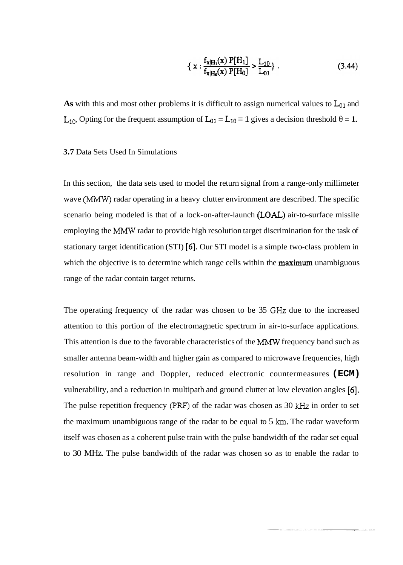$$
\left\{ \ x : \frac{f_{x|H_1}(x) \ P[H_1]}{f_{x|H_0}(x) \ P[H_0]} > \frac{L_{10}}{L_{01}} \right\} \ . \tag{3.44}
$$

As with this and most other problems it is difficult to assign numerical values to  $L_{01}$  and L<sub>10</sub>. Opting for the frequent assumption of  $L_{01} = L_{10} = 1$  gives a decision threshold  $\theta = 1$ .

#### **3.7** Data Sets Used In Simulations

In this section, the data sets used to model the return signal from a range-only millimeter wave **(MMW)** radar operating in a heavy clutter environment are described. The specific scenario being modeled is that of a lock-on-after-launch (LOAL) air-to-surface missile employing the MMW radar to provide high resolution target discrimination for the task of stationary target identification (STI) *[6].* Our STI model is a simple two-class problem in which the objective is to determine which range cells within the **maximum** unambiguous range of the radar contain target returns.

The operating frequency of the radar was chosen to be 35 **GHz** due to the increased attention to this portion of the electromagnetic spectrum in air-to-surface applications. This attention is due to the favorable characteristics of the MMW frequency band such as smaller antenna beam-width and higher gain as compared to microwave frequencies, high resolution in range and Doppler, reduced electronic countermeasures **(ECM)**  vulnerability, and a reduction in multipath and ground clutter at low elevation angles *[6].*  The pulse repetition frequency (PRF) of the radar was chosen as 30 kHz in order to set the maximum unambiguous range of the radar to be equal to 5 **km.** The radar waveform itself was chosen as a coherent pulse train with the pulse bandwidth of the radar set equal to 30 MHz. The pulse bandwidth of the radar was chosen so as to enable the radar to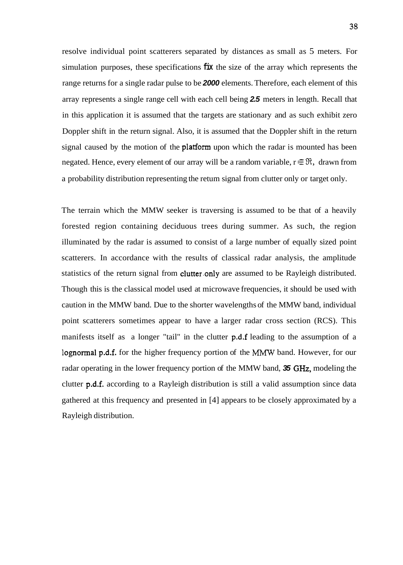resolve individual point scatterers separated by distances as small as 5 meters. For simulation purposes, these specifications **fix** the size of the array which represents the range returns for a single radar pulse to be **2000** elements. Therefore, each element of this array represents a single range cell with each cell being **2.5** meters in length. Recall that in this application it is assumed that the targets are stationary and as such exhibit zero Doppler shift in the return signal. Also, it is assumed that the Doppler shift in the return signal caused by the motion of the **platform** upon which the radar is mounted has been negated. Hence, every element of our array will be a random variable,  $r \in \mathfrak{R}$ , drawn from a probability distribution representing the retum signal from clutter only or target only.

The terrain which the MMW seeker is traversing is assumed to be that of a heavily forested region containing deciduous trees during summer. As such, the region illuminated by the radar is assumed to consist of a large number of equally sized point scatterers. In accordance with the results of classical radar analysis, the amplitude statistics of the return signal from **clutter** only are assumed to be Rayleigh distributed. Though this is the classical model used at microwave frequencies, it should be used with caution in the MMW band. Due to the shorter wavelengths of the MMW band, individual point scatterers sometimes appear to have a larger radar cross section (RCS). This manifests itself as a longer "tail" in the clutter p.d.f leading to the assumption of a lognormal p.d.f. for the higher frequency portion of the MMW band. However, for our radar operating in the lower frequency portion of the MMW band, **35 GHz,** modeling the clutter p.d.f. according to a Rayleigh distribution is still a valid assumption since data gathered at this frequency and presented in [4] appears to be closely approximated by a Rayleigh distribution.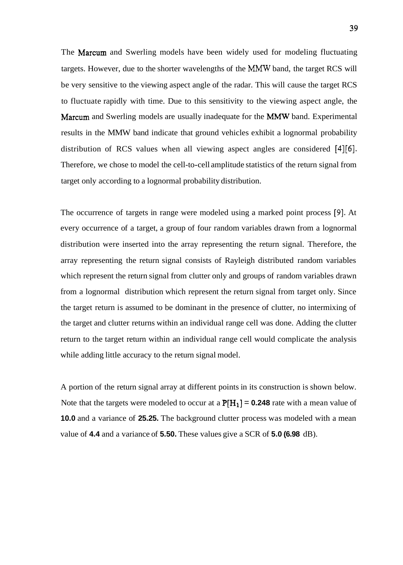The Marcum and Swerling models have been widely used for modeling fluctuating targets. However, due to the shorter wavelengths of the MMW band, the target RCS will be very sensitive to the viewing aspect angle of the radar. This will cause the target RCS to fluctuate rapidly with time. Due to this sensitivity to the viewing aspect angle, the Marcum and Swerling models are usually inadequate for the MMW band. Experimental results in the MMW band indicate that ground vehicles exhibit a lognormal probability distribution of RCS values when all viewing aspect angles are considered [4][6]. Therefore, we chose to model the cell-to-cell amplitude statistics of the return signal from target only according to a lognormal probability distribution.

The occurrence of targets in range were modeled using a marked point process **[9].** At every occurrence of a target, a group of four random variables drawn from a lognormal distribution were inserted into the array representing the return signal. Therefore, the array representing the return signal consists of Rayleigh distributed random variables which represent the return signal from clutter only and groups of random variables drawn from a lognormal distribution which represent the return signal from target only. Since the target return is assumed to be dominant in the presence of clutter, no intermixing of the target and clutter returns within an individual range cell was done. Adding the clutter return to the target return within an individual range cell would complicate the analysis while adding little accuracy to the return signal model.

A portion of the return signal array at different points in its construction is shown below. Note that the targets were modeled to occur at a  $P[H_1] = 0.248$  rate with a mean value of **10.0** and a variance of **25.25.** The background clutter process was modeled with a mean value of **4.4** and a variance of **5.50.** These values give a SCR of **5.0 (6.98** dB).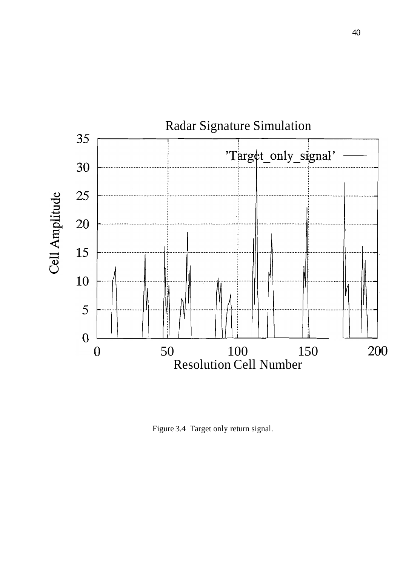

Figure 3.4 Target only return signal.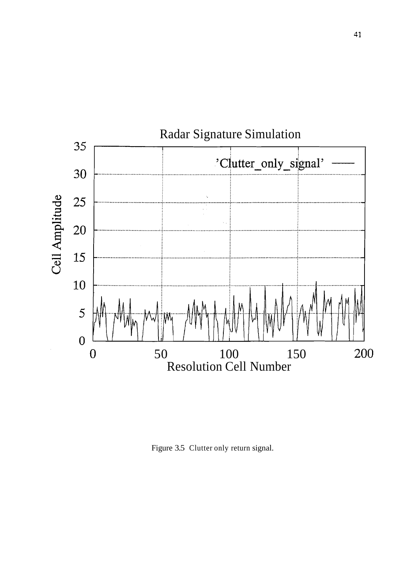

Figure 3.5 Clutter only return signal.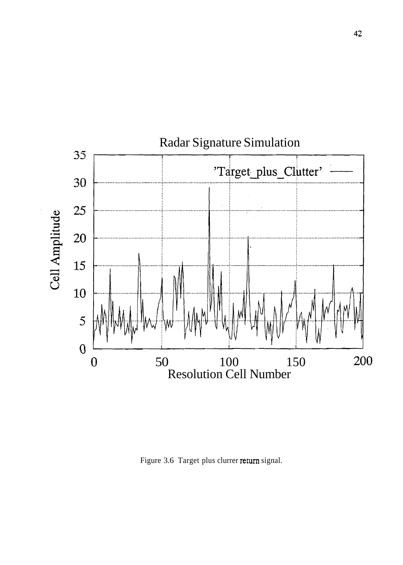

Figure 3.6 Target plus clurrer return signal.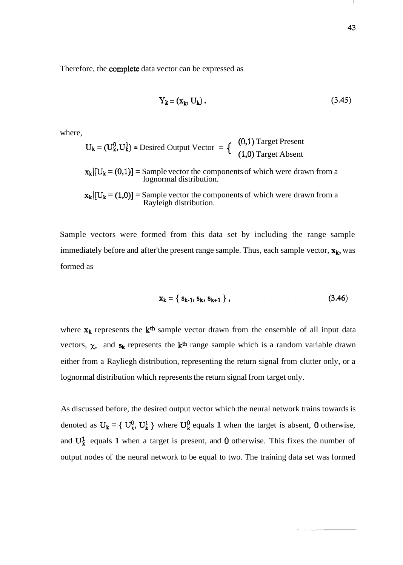Therefore, the complete data vector can be expressed as

$$
Y_k = (x_k, U_k), \tag{3.45}
$$

where,

$$
U_k = (U_k^0, U_k^1) = \text{Desired Output Vector} = \left\{ \begin{array}{c} (0,1) \text{Target Present} \\ (1,0) \text{Target Absent} \end{array} \right.
$$

 $\mathbf{x}_{k}$ [U<sub>k</sub> = (0,1)] = Sample vector the components of which were drawn from a lognormal distribution.

 $\mathbf{x}_k[[U_k = (1,0)] =$  Sample vector the components of which were drawn from a Rayleigh distribution.

Sample vectors were formed from this data set by including the range sample immediately before and after'the present range sample. Thus, each sample vector,  $x_k$ , was formed as

$$
x_k = \{ s_{k-1}, s_k, s_{k+1} \},
$$
 (3.46)

where  $x_k$  represents the  $k<sup>th</sup>$  sample vector drawn from the ensemble of all input data vectors,  $\chi$ , and  $s_k$  represents the  $k<sup>th</sup>$  range sample which is a random variable drawn either from a Rayliegh distribution, representing the return signal from clutter only, or a lognormal distribution which represents the return signal from target only.

As discussed before, the desired output vector which the neural network trains towards is denoted as  $U_k = \{U_k^0, U_k^1\}$  where  $U_k^0$  equals 1 when the target is absent, 0 otherwise, and  $U_k^1$  equals 1 when a target is present, and 0 otherwise. This fixes the number of output nodes of the neural network to be equal to two. The training data set was formed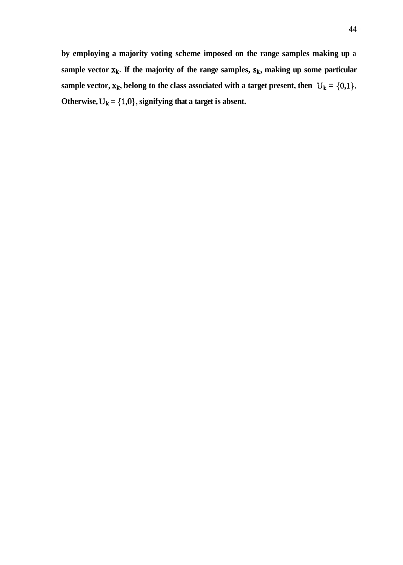**by employing a majority voting scheme imposed on the range samples making up a**  sample vector  $x_k$ . If the majority of the range samples,  $s_k$ , making up some particular sample vector,  $\mathbf{x}_k$ , belong to the class associated with a target present, then  $U_k = \{0,1\}$ . Otherwise,  $U_k = \{1,0\}$ , signifying that a target is absent.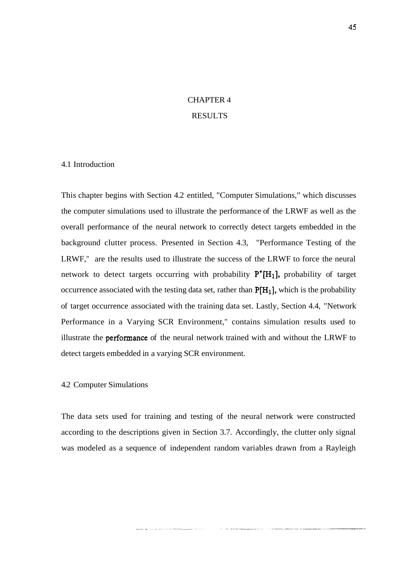# CHAPTER 4

## RESULTS

#### 4.1 Introduction

This chapter begins with Section 4.2 entitled, "Computer Simulations," which discusses the computer simulations used to illustrate the performance of the LRWF as well as the overall performance of the neural network to correctly detect targets embedded in the background clutter process. Presented in Section 4.3, "Performance Testing of the LRWF," are the results used to illustrate the success of the LRWF to force the neural network to detect targets occurring with probability  $P^{\bullet}[H_1]$ , probability of target occurrence associated with the testing data set, rather than  $P[H_1]$ , which is the probability of target occurrence associated with the training data set. Lastly, Section 4.4, "Network Performance in a Varying SCR Environment," contains simulation results used to illustrate the performance of the neural network trained with and without the LRWF to detect targets embedded in a varying SCR environment.

# 4.2 Computer Simulations

The data sets used for training and testing of the neural network were constructed according to the descriptions given in Section 3.7. Accordingly, the clutter only signal was modeled as a sequence of independent random variables drawn from a Rayleigh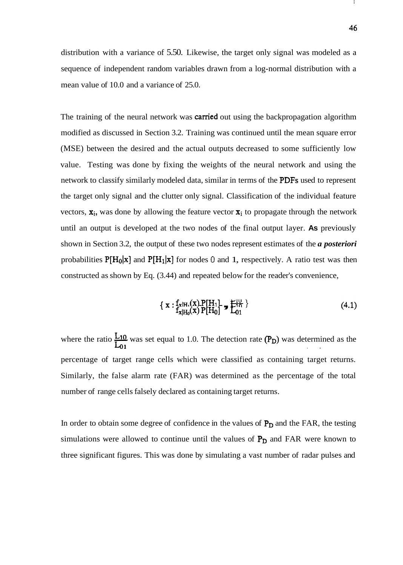distribution with a variance of 5.50. Likewise, the target only signal was modeled as a sequence of independent random variables drawn from a log-normal distribution with a mean value of 10.0 and a variance of 25.0.

The training of the neural network was **carried** out using the backpropagation algorithm modified as discussed in Section 3.2. Training was continued until the mean square error (MSE) between the desired and the actual outputs decreased to some sufficiently low value. Testing was done by fixing the weights of the neural network and using the network to classify similarly modeled data, similar in terms of the PDFs used to represent the target only signal and the clutter only signal. Classification of the individual feature vectors,  $x_i$ , was done by allowing the feature vector  $x_i$  to propagate through the network until an output is developed at the two nodes of the final output layer. **As** previously shown in Section 3.2, the output of these two nodes represent estimates of the *a posteriori*  probabilities  $P[H_0|x]$  and  $P[H_1|x]$  for nodes 0 and 1, respectively. A ratio test was then

constructed as shown by Eq. (3.44) and repeated below for the reader's convenience,  
\n
$$
\{ \mathbf{x} : f_{\mathbf{x}|H_1}(\mathbf{x}) \mathbf{P}[H_1] \rightarrow \mathbf{F}_{10}^{10} \}
$$
\n
$$
f_{\mathbf{x}|H_0}(\mathbf{x}) \mathbf{P}[H_0] \rightarrow \mathbf{L}_{01}^{10}
$$
\n(4.1)

where the ratio  $\frac{120}{1}$  was set equal to 1.0. The detection rate (P<sub>D</sub>) was determined as the **Lo1** . . percentage of target range cells which were classified as containing target returns. Similarly, the false alarm rate (FAR) was determined as the percentage of the total number of range cells falsely declared as containing target returns.

In order to obtain some degree of confidence in the values of  $P_D$  and the FAR, the testing simulations were allowed to continue until the values of  $P_D$  and FAR were known to three significant figures. This was done by simulating a vast number of radar pulses and

Т.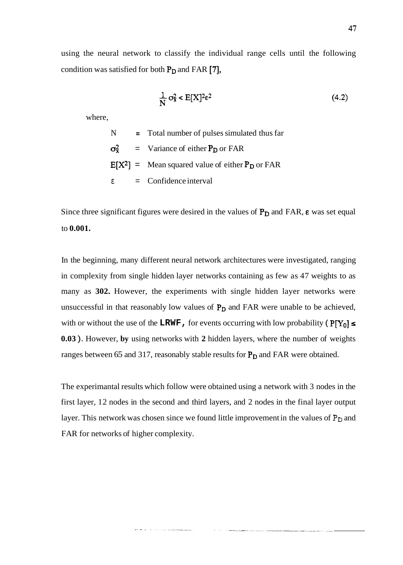using the neural network to classify the individual range cells until the following condition was satisfied for both  $P_D$  and FAR  $[7]$ ,

$$
\frac{1}{N} \sigma_{\mathbf{x}}^2 < \mathbf{E}[X]^2 \varepsilon^2 \tag{4.2}
$$

where,

N = Total number of pulses simulated thus far  
\n
$$
σ_x^2
$$
 = Variance of either  $P_D$  or FAR  
\n $E[X^2]$  = Mean squared value of either  $P_D$  or FAR  
\nε = Confidence interval

Since three significant figures were desired in the values of  $P_D$  and FAR,  $\varepsilon$  was set equal to **0.001.** 

In the beginning, many different neural network architectures were investigated, ranging in complexity from single hidden layer networks containing as few as 47 weights to as many as **302.** However, the experiments with single hidden layer networks were unsuccessful in that reasonably low values of  $P_D$  and FAR were unable to be achieved, with or without the use of the LRWF, for events occurring with low probability ( $P[Y_0] \leq$ **0.03** ). However, **by** using networks with **2** hidden layers, where the number of weights ranges between 65 and 317, reasonably stable results for  $P_D$  and FAR were obtained.

The experimantal results which follow were obtained using a network with 3 nodes in the first layer, 12 nodes in the second and third layers, and 2 nodes in the final layer output layer. This network was chosen since we found little improvement in the values of P<sub>D</sub> and FAR for networks of higher complexity.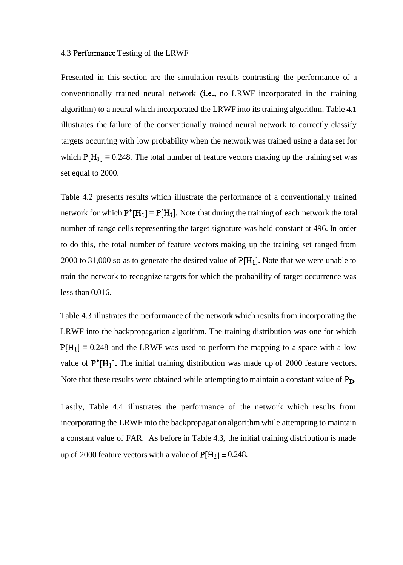#### 4.3 Performance Testing of the LRWF

Presented in this section are the simulation results contrasting the performance of a conventionally trained neural network (i.e., no LRWF incorporated in the training algorithm) to a neural which incorporated the LRWF into its training algorithm. Table 4.1 illustrates the failure of the conventionally trained neural network to correctly classify targets occurring with low probability when the network was trained using a data set for which  $P[H_1] = 0.248$ . The total number of feature vectors making up the training set was set equal to 2000.

Table 4.2 presents results which illustrate the performance of a conventionally trained network for which  $P^{\bullet}[H_1] = P[H_1]$ . Note that during the training of each network the total number of range cells representing the target signature was held constant at 496. In order to do this, the total number of feature vectors making up the training set ranged from 2000 to 31,000 so as to generate the desired value of  $P[H_1]$ . Note that we were unable to train the network to recognize targets for which the probability of target occurrence was less than 0.016.

Table 4.3 illustrates the performance of the network which results from incorporating the LRWF into the backpropagation algorithm. The training distribution was one for which  $P[H_1] = 0.248$  and the LRWF was used to perform the mapping to a space with a low value of  $P^{\bullet}[H_1]$ . The initial training distribution was made up of 2000 feature vectors. Note that these results were obtained while attempting to maintain a constant value of P<sub>D</sub>.

Lastly, Table 4.4 illustrates the performance of the network which results from incorporating the LRWF into the backpropagation algorithm while attempting to maintain a constant value of FAR. As before in Table 4.3, the initial training distribution is made up of 2000 feature vectors with a value of  $P[H_1] = 0.248$ .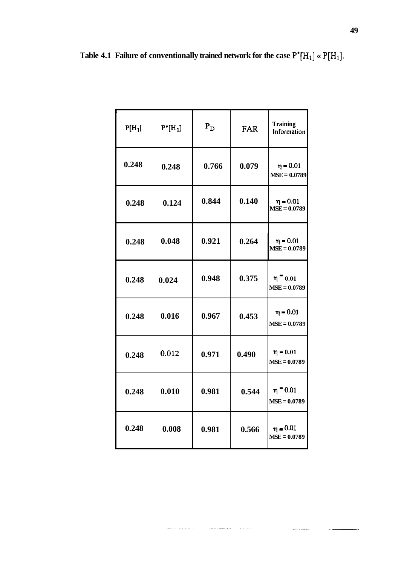|  |  | Table 4.1 Failure of conventionally trained network for the case $P^* [H_1] \times P[H_1]$ . |  |  |  |  |  |
|--|--|----------------------------------------------------------------------------------------------|--|--|--|--|--|
|--|--|----------------------------------------------------------------------------------------------|--|--|--|--|--|

| $P[H_1]$ | $P^*[H_1]$ | $P_D$ | <b>FAR</b> | <b>Training</b><br>Information  |
|----------|------------|-------|------------|---------------------------------|
| 0.248    | 0.248      | 0.766 | 0.079      | $\eta = 0.01$<br>$MSE = 0.0789$ |
| 0.248    | 0.124      | 0.844 | 0.140      | $\eta = 0.01$<br>$MSE = 0.0789$ |
| 0.248    | 0.048      | 0.921 | 0.264      | $\eta = 0.01$<br>$MSE = 0.0789$ |
| 0.248    | 0.024      | 0.948 | 0.375      | $\eta$ = 0.01<br>$MSE = 0.0789$ |
| 0.248    | 0.016      | 0.967 | 0.453      | $\eta = 0.01$<br>$MSE = 0.0789$ |
| 0.248    | 0.012      | 0.971 | 0.490      | $n = 0.01$<br>$MSE = 0.0789$    |
| 0.248    | 0.010      | 0.981 | 0.544      | $n = 0.01$<br>$MSE = 0.0789$    |
| 0.248    | 0.008      | 0.981 | 0.566      | $\eta = 0.01$<br>$MSE = 0.0789$ |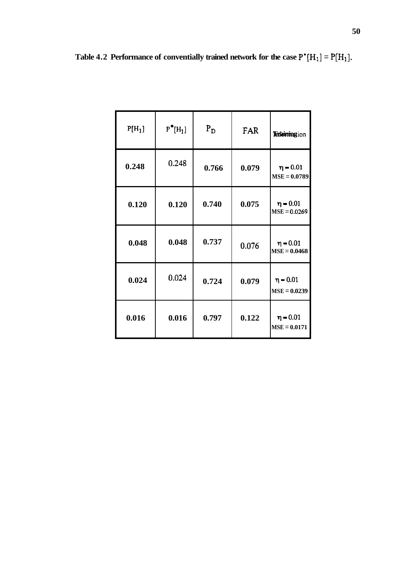|  | Table 4.2 Performance of conventially trained network for the case $P^* [H_1] = P[H_1]$ . |  |
|--|-------------------------------------------------------------------------------------------|--|
|--|-------------------------------------------------------------------------------------------|--|

| $P[H_1]$ | $P^{\bullet}[H_1]$ | $P_D$ | FAR   | <b>Triaining</b> ion            |
|----------|--------------------|-------|-------|---------------------------------|
| 0.248    | 0.248              | 0.766 | 0.079 | $\eta = 0.01$<br>$MSE = 0.0789$ |
| 0.120    | 0.120              | 0.740 | 0.075 | $\eta = 0.01$<br>$MSE = 0.0269$ |
| 0.048    | 0.048              | 0.737 | 0.076 | $\eta = 0.01$<br>$MSE = 0.0468$ |
| 0.024    | 0.024              | 0.724 | 0.079 | $\eta = 0.01$<br>$MSE = 0.0239$ |
| 0.016    | 0.016              | 0.797 | 0.122 | $\eta = 0.01$<br>$MSE = 0.0171$ |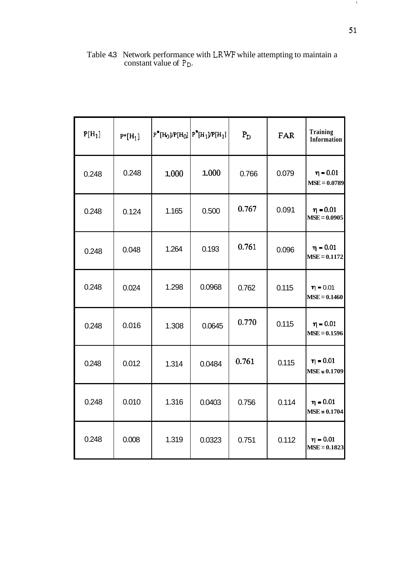| $P[H_1]$ | $P^*[H_1]$ |       | $P^*H_0$ //P[H <sub>0</sub> ] $ P^*H_1$ /P[H <sub>1</sub> ] | $P_D$ | FAR   | <b>Training</b><br>Information  |
|----------|------------|-------|-------------------------------------------------------------|-------|-------|---------------------------------|
| 0.248    | 0.248      | 1.000 | 1.000                                                       | 0.766 | 0.079 | $\eta = 0.01$<br>$MSE = 0.0789$ |
| 0.248    | 0.124      | 1.165 | 0.500                                                       | 0.767 | 0.091 | $\eta = 0.01$<br>$MSE = 0.0905$ |
| 0.248    | 0.048      | 1.264 | 0.193                                                       | 0.761 | 0.096 | $\eta = 0.01$<br>$MSE = 0.1172$ |
| 0.248    | 0.024      | 1.298 | 0.0968                                                      | 0.762 | 0.115 | $\eta = 0.01$<br>$MSE = 0.1460$ |
| 0.248    | 0.016      | 1.308 | 0.0645                                                      | 0.770 | 0.115 | $\eta = 0.01$<br>$MSE = 0.1596$ |
| 0.248    | 0.012      | 1.314 | 0.0484                                                      | 0.761 | 0.115 | $\eta = 0.01$<br>$MSE = 0.1709$ |
| 0.248    | 0.010      | 1.316 | 0.0403                                                      | 0.756 | 0.114 | $\eta = 0.01$<br>$MSE = 0.1704$ |
| 0.248    | 0.008      | 1.319 | 0.0323                                                      | 0.751 | 0.112 | $\eta = 0.01$<br>$MSE = 0.1823$ |

Table 4.3 Network performance with LRWF while attempting to maintain a constant value of P<sub>D</sub>.

 $\mathbf{J}_\perp$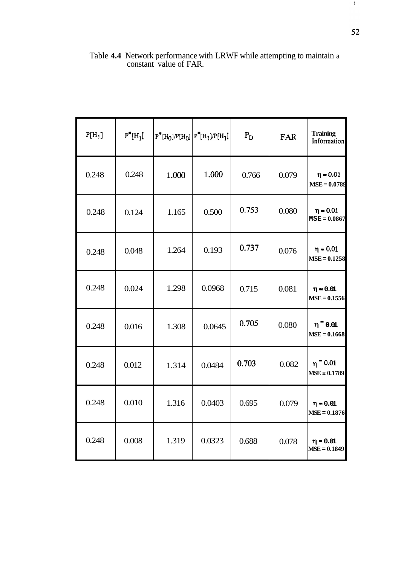| $P[H_1]$ | $P^*[H_1]$ |       | $P^*[H_0]/P[H_0]   P^*[H_1]/P[H_1]$ | $\mathbf{P}_{\mathrm{D}}$ | FAR   | <b>Training</b><br>Information  |
|----------|------------|-------|-------------------------------------|---------------------------|-------|---------------------------------|
| 0.248    | 0.248      | 1.000 | 1.000                               | 0.766                     | 0.079 | $\eta = 0.01$<br>$MSE = 0.0789$ |
| 0.248    | 0.124      | 1.165 | 0.500                               | 0.753                     | 0.080 | $\eta = 0.01$<br>$MSE = 0.0867$ |
| 0.248    | 0.048      | 1.264 | 0.193                               | 0.737                     | 0.076 | $\eta = 0.01$<br>$MSE = 0.1258$ |
| 0.248    | 0.024      | 1.298 | 0.0968                              | 0.715                     | 0.081 | $\eta = 0.01$<br>$MSE = 0.1556$ |
| 0.248    | 0.016      | 1.308 | 0.0645                              | 0.705                     | 0.080 | $\eta$ 0.01<br>$MSE = 0.1668$   |
| 0.248    | 0.012      | 1.314 | 0.0484                              | 0.703                     | 0.082 | $n = 0.01$<br>$MSE = 0.1789$    |
| 0.248    | 0.010      | 1.316 | 0.0403                              | 0.695                     | 0.079 | $\eta = 0.01$<br>$MSE = 0.1876$ |
| 0.248    | 0.008      | 1.319 | 0.0323                              | 0.688                     | 0.078 | $\eta = 0.01$<br>$MSE = 0.1849$ |

Table **4.4** Network performance with LRWF while attempting to maintain a constant value of FAR.

 $\mathcal{V}_\mathcal{C}$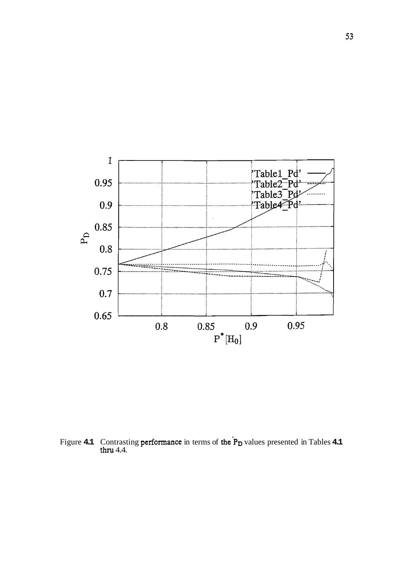

Figure **4.1** Contrasting **performance** in terms of the P<sub>D</sub> values presented in Tables **4.1** thru 4.4.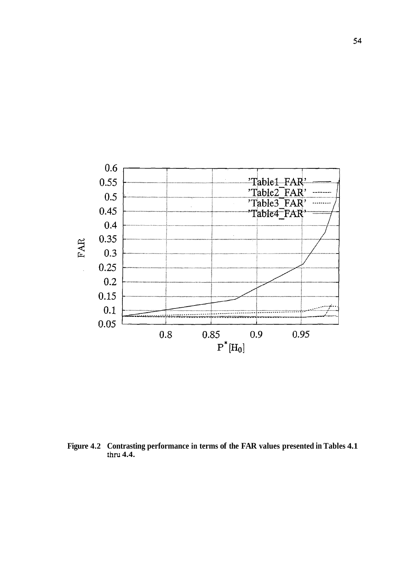

**Figure 4.2 Contrasting performance in terms of the FAR values presented in Tables 4.1**  thru **4.4.**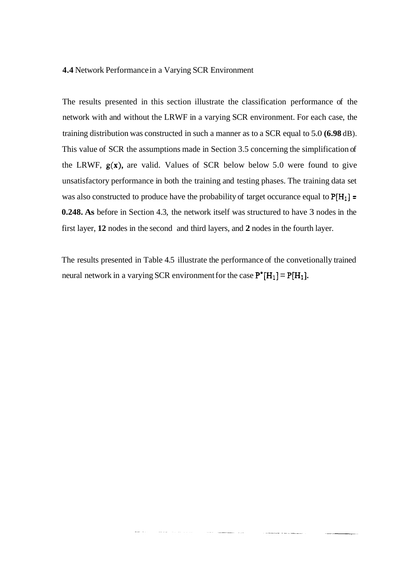## **4.4** Network Performance in a Varying SCR Environment

The results presented in this section illustrate the classification performance of the network with and without the LRWF in a varying SCR environment. For each case, the training distribution was constructed in such a manner as to a SCR equal to 5.0 **(6.98** dB). This value of SCR the assumptions made in Section 3.5 concerning the simplification of the LRWF,  $g(x)$ , are valid. Values of SCR below below 5.0 were found to give unsatisfactory performance in both the training and testing phases. The training data set was also constructed to produce have the probability of target occurance equal to  $P[H_1] =$ **0.248. As** before in Section 4.3, the network itself was structured to have 3 nodes in the first layer, **12** nodes in the second and third layers, and **2** nodes in the fourth layer.

The results presented in Table 4.5 illustrate the performance of the convetionally trained neural network in a varying SCR environment for the case  $P^*[H_1] = P[H_1]$ .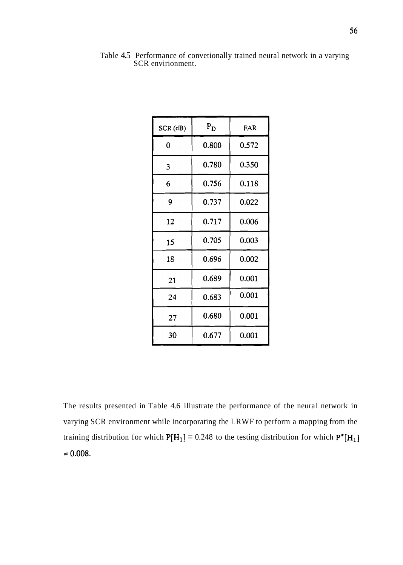$\mathbf{I}$ 

| SCR(dB) | $P_D$ | FAR   |
|---------|-------|-------|
| 0       | 0.800 | 0.572 |
| 3       | 0.780 | 0.350 |
| 6       | 0.756 | 0.118 |
| 9       | 0.737 | 0.022 |
| 12      | 0.717 | 0.006 |
| 15      | 0.705 | 0.003 |
| 18      | 0.696 | 0.002 |
| 21      | 0.689 | 0.001 |
| 24      | 0.683 | 0.001 |
| 27      | 0.680 | 0.001 |
| 30      | 0.677 | 0.001 |

Table 4.5 Performance of convetionally trained neural network in a varying SCR envirionment.

The results presented in Table 4.6 illustrate the performance of the neural network in varying SCR environment while incorporating the LRWF to perform a mapping from the training distribution for which  $P[H_1] = 0.248$  to the testing distribution for which  $P^*[H_1]$  $= 0.008.$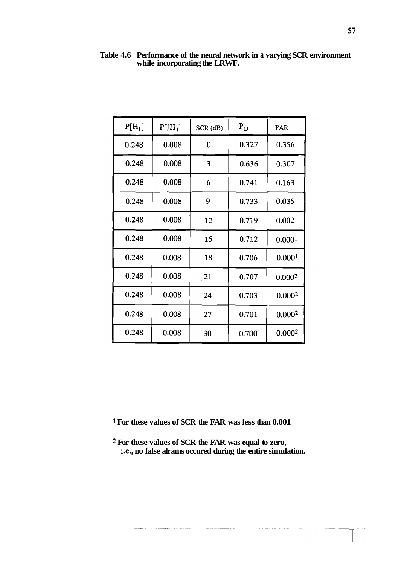| $P[H_1]$ | $P^*[H_1]$ | SCR(dB) | $P_D$ | FAR                |
|----------|------------|---------|-------|--------------------|
|          |            |         |       |                    |
| 0.248    | 0.008      | 0       | 0.327 | 0.356              |
| 0.248    | 0.008      | 3       | 0.636 | 0.307              |
| 0.248    | 0.008      | 6       | 0.741 | 0.163              |
| 0.248    | 0.008      | 9       | 0.733 | 0.035              |
| 0.248    | 0.008      | 12      | 0.719 | 0.002              |
| 0.248    | 0.008      | 15      | 0.712 | 0.0001             |
| 0.248    | 0.008      | 18      | 0.706 | 0.0001             |
| 0.248    | 0.008      | 21      | 0.707 | 0.0002             |
| 0.248    | 0.008      | 24      | 0.703 | 0.000 <sup>2</sup> |
| 0.248    | 0.008      | 27      | 0.701 | 0.000 <sup>2</sup> |
| 0.248    | 0.008      | 30      | 0.700 | 0.0002             |

**Table 4.6 Performance of the neural network in a varying SCR environment while incorporating the LRWF.** 

**<sup>1</sup>For these values of SCR the FAR was less than 0.001** 

and and the second second second and the second second and the second second second and the second second second and in the second second second and second and second second and second second and second and second second a

.<br>The consequences are a simple with

**2 For these values of SCR the FAR was equal to zero, i-e., no false alrams occured during the entire simulation.** 

 $\label{eq:1} \begin{array}{ll} \mathcal{L}_{\text{max}}(\mathcal{L}_{\text{max}},\mathcal{L}_{\text{max}}) & \mathcal{L}_{\text{max}}(\mathcal{L}_{\text{max}}) \\ \mathcal{L}_{\text{max}}(\mathcal{L}_{\text{max}},\mathcal{L}_{\text{max}}) & \mathcal{L}_{\text{max}}(\mathcal{L}_{\text{max}}) \end{array}$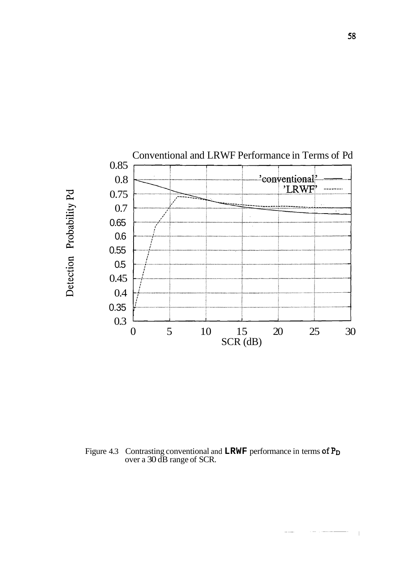

Figure 4.3 Contrasting conventional and **LRWF** performance in terms of **Po**  over a 30 dB range of SCR.

 $\overline{\phantom{a}}$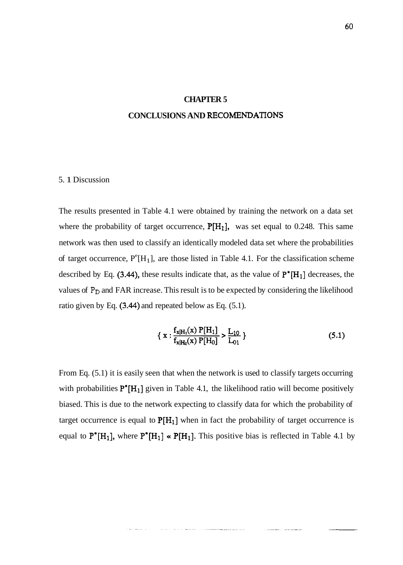# **CHAPTER 5**

# **CONCLUSIONS AND RECOMENDATIONS**

### 5. 1 Discussion

The results presented in Table 4.1 were obtained by training the network on a data set where the probability of target occurrence,  $P[H_1]$ , was set equal to 0.248. This same network was then used to classify an identically modeled data set where the probabilities of target occurrence,  $P^{e}[H_1]$ , are those listed in Table 4.1. For the classification scheme described by Eq. (3.44), these results indicate that, as the value of  $P^* [H_1]$  decreases, the values of P<sub>D</sub> and FAR increase. This result is to be expected by considering the likelihood ratio given by Eq. (3.44) and repeated below as Eq. (5.1).

$$
\{ \mathbf{x} : \frac{f_{\mathbf{x}|H_1}(\mathbf{x}) \, P[H_1]}{f_{\mathbf{x}|H_0}(\mathbf{x}) \, P[H_0]} > \frac{L_{10}}{L_{01}} \} \tag{5.1}
$$

From Eq. (5.1) it is easily seen that when the network is used to classify targets occurring with probabilities  $P^*[H_1]$  given in Table 4.1, the likelihood ratio will become positively biased. This is due to the network expecting to classify data for which the probability of target occurrence is equal to  $P[H_1]$  when in fact the probability of target occurrence is equal to  $P^*[H_1]$ , where  $P^*[H_1] \times P[H_1]$ . This positive bias is reflected in Table 4.1 by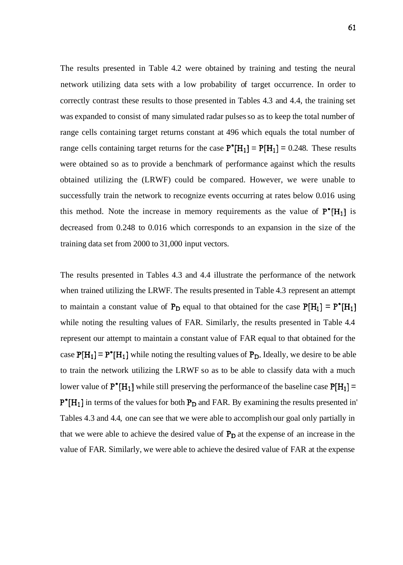The results presented in Table 4.2 were obtained by training and testing the neural network utilizing data sets with a low probability of target occurrence. In order to correctly contrast these results to those presented in Tables 4.3 and 4.4, the training set was expanded to consist of many simulated radar pulses so as to keep the total number of range cells containing target returns constant at 496 which equals the total number of range cells containing target returns for the case  $P^* [H_1] = P[H_1] = 0.248$ . These results were obtained so as to provide a benchmark of performance against which the results obtained utilizing the (LRWF) could be compared. However, we were unable to successfully train the network to recognize events occurring at rates below 0.016 using this method. Note the increase in memory requirements as the value of  $P^*[H_1]$  is decreased from 0.248 to 0.016 which corresponds to an expansion in the size of the training data set from 2000 to 31,000 input vectors.

The results presented in Tables 4.3 and 4.4 illustrate the performance of the network when trained utilizing the LRWF. The results presented in Table 4.3 represent an attempt to maintain a constant value of  $P_D$  equal to that obtained for the case  $P[H_1] = P^* [H_1]$ while noting the resulting values of FAR. Similarly, the results presented in Table 4.4 represent our attempt to maintain a constant value of FAR equal to that obtained for the case  $P[H_1] = P^* [H_1]$  while noting the resulting values of  $P_D$ . Ideally, we desire to be able to train the network utilizing the LRWF so as to be able to classify data with a much lower value of  $P^*[H_1]$  while still preserving the performance of the baseline case  $P[H_1] =$  $P^*[H_1]$  in terms of the values for both  $P_D$  and FAR. By examining the results presented in' Tables 4.3 and 4.4, one can see that we were able to accomplish our goal only partially in that we were able to achieve the desired value of  $P_D$  at the expense of an increase in the value of FAR. Similarly, we were able to achieve the desired value of FAR at the expense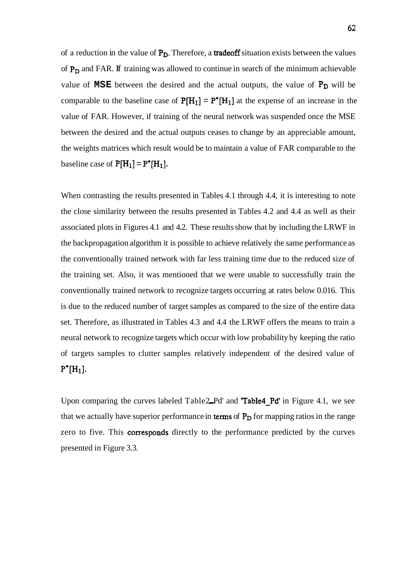of a reduction in the value of  $P_D$ . Therefore, a **tradeoff** situation exists between the values of  $P_D$  and FAR. If training was allowed to continue in search of the minimum achievable value of  $MSE$  between the desired and the actual outputs, the value of  $P_D$  will be comparable to the baseline case of  $P[H_1] = P^{\bullet}[H_1]$  at the expense of an increase in the value of FAR. However, if training of the neural network was suspended once the MSE between the desired and the actual outputs ceases to change by an appreciable amount, the weights matrices which result would be to maintain a value of FAR comparable to the baseline case of  $P[H_1] = P^*[H_1]$ .

When contrasting the results presented in Tables 4.1 through 4.4, it is interesting to note the close similarity between the results presented in Tables 4.2 and 4.4 as well as their associated plots in Figures 4.1 and 4.2. These results show that by including the LRWF in the backpropagation algorithm it is possible to achieve relatively the same performance as the conventionally trained network with far less training time due to the reduced size of the training set. Also, it was mentioned that we were unable to successfully train the conventionally trained network to recognize targets occurring at rates below 0.016. This is due to the reduced number of target samples as compared to the size of the entire data set. Therefore, as illustrated in Tables 4.3 and 4.4 the LRWF offers the means to train a neural network to recognize targets which occur with low probability by keeping the ratio of targets samples to clutter samples relatively independent of the desired value of  $P^{\bullet}[H_1].$ 

Upon comparing the curves labeled Table2\_Pd' and 'Table4\_Pd' in Figure 4.1, we see that we actually have superior performance in terms of  $P_D$  for mapping ratios in the range zero to five. This corresponds directly to the performance predicted by the curves presented in Figure 3.3.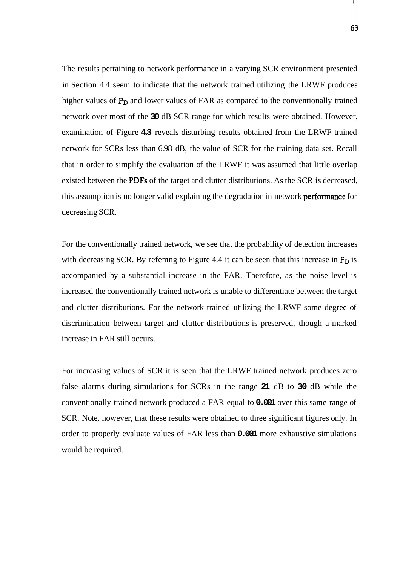The results pertaining to network performance in a varying SCR environment presented in Section 4.4 seem to indicate that the network trained utilizing the LRWF produces higher values of  $P_D$  and lower values of FAR as compared to the conventionally trained network over most of the **30** dB SCR range for which results were obtained. However, examination of Figure **4.3** reveals disturbing results obtained from the LRWF trained network for SCRs less than 6.98 dB, the value of SCR for the training data set. Recall that in order to simplify the evaluation of the LRWF it was assumed that little overlap existed between the PDFs of the target and clutter distributions. As the SCR is decreased, this assumption is no longer valid explaining the degradation in network performance for decreasing SCR.

For the conventionally trained network, we see that the probability of detection increases with decreasing SCR. By refemng to Figure 4.4 it can be seen that this increase in  $P_D$  is accompanied by a substantial increase in the FAR. Therefore, as the noise level is increased the conventionally trained network is unable to differentiate between the target and clutter distributions. For the network trained utilizing the LRWF some degree of discrimination between target and clutter distributions is preserved, though a marked increase in FAR still occurs.

For increasing values of SCR it is seen that the LRWF trained network produces zero false alarms during simulations for SCRs in the range **21** dB to **30** dB while the conventionally trained network produced a FAR equal to **0.001** over this same range of SCR. Note, however, that these results were obtained to three significant figures only. In order to properly evaluate values of FAR less than **0.001** more exhaustive simulations would be required.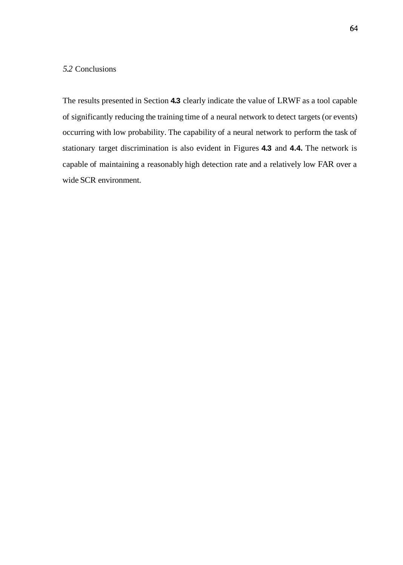# *5.2* Conclusions

The results presented in Section **4.3** clearly indicate the value of LRWF as a tool capable of significantly reducing the training time of a neural network to detect targets (or events) occurring with low probability. The capability of a neural network to perform the task of stationary target discrimination is also evident in Figures **4.3** and **4.4.** The network is capable of maintaining a reasonably high detection rate and a relatively low FAR over a wide SCR environment.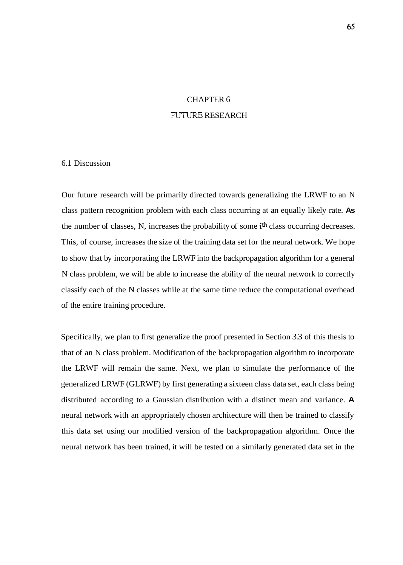# CHAPTER 6 **FUTURE** RESEARCH

## 6.1 Discussion

Our future research will be primarily directed towards generalizing the LRWF to an N class pattern recognition problem with each class occurring at an equally likely rate. **As**  the number of classes, N, increases the probability of some *i*<sup>th</sup> class occurring decreases. This, of course, increases the size of the training data set for the neural network. We hope to show that by incorporating the LRWF into the backpropagation algorithm for a general N class problem, we will be able to increase the ability of the neural network to correctly classify each of the N classes while at the same time reduce the computational overhead of the entire training procedure.

Specifically, we plan to first generalize the proof presented in Section 3.3 of this thesis to that of an N class problem. Modification of the backpropagation algorithm to incorporate the LRWF will remain the same. Next, we plan to simulate the performance of the generalized LRWF (GLRWF) by first generating a sixteen class data set, each class being distributed according to a Gaussian distribution with a distinct mean and variance. **A**  neural network with an appropriately chosen architecture will then be trained to classify this data set using our modified version of the backpropagation algorithm. Once the neural network has been trained, it will be tested on a similarly generated data set in the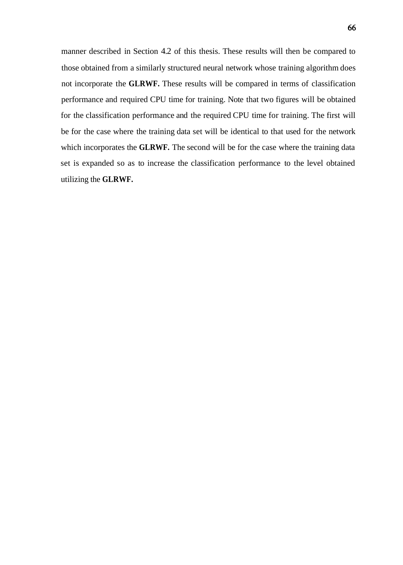manner described in Section 4.2 of this thesis. These results will then be compared to those obtained from a similarly structured neural network whose training algorithm does not incorporate the **GLRWF.** These results will be compared in terms of classification performance and required CPU time for training. Note that two figures will be obtained for the classification performance and the required CPU time for training. The first will be for the case where the training data set will be identical to that used for the network which incorporates the **GLRWF.** The second will be for the case where the training data set is expanded so as to increase the classification performance to the level obtained utilizing the **GLRWF.**